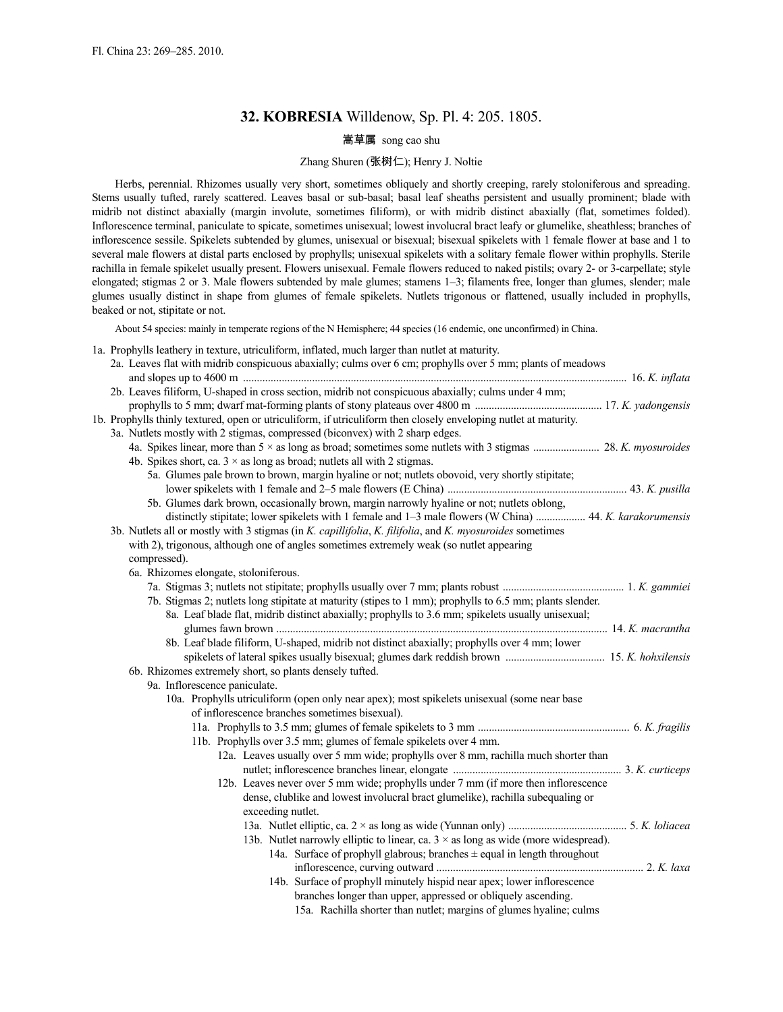# **32. KOBRESIA** Willdenow, Sp. Pl. 4: 205. 1805.

# 嵩草属 song cao shu

# Zhang Shuren (张树仁); Henry J. Noltie

Herbs, perennial. Rhizomes usually very short, sometimes obliquely and shortly creeping, rarely stoloniferous and spreading. Stems usually tufted, rarely scattered. Leaves basal or sub-basal; basal leaf sheaths persistent and usually prominent; blade with midrib not distinct abaxially (margin involute, sometimes filiform), or with midrib distinct abaxially (flat, sometimes folded). Inflorescence terminal, paniculate to spicate, sometimes unisexual; lowest involucral bract leafy or glumelike, sheathless; branches of inflorescence sessile. Spikelets subtended by glumes, unisexual or bisexual; bisexual spikelets with 1 female flower at base and 1 to several male flowers at distal parts enclosed by prophylls; unisexual spikelets with a solitary female flower within prophylls. Sterile rachilla in female spikelet usually present. Flowers unisexual. Female flowers reduced to naked pistils; ovary 2- or 3-carpellate; style elongated; stigmas 2 or 3. Male flowers subtended by male glumes; stamens 1–3; filaments free, longer than glumes, slender; male glumes usually distinct in shape from glumes of female spikelets. Nutlets trigonous or flattened, usually included in prophylls, beaked or not, stipitate or not.

About 54 species: mainly in temperate regions of the N Hemisphere; 44 species (16 endemic, one unconfirmed) in China.

|  |  | 1a. Prophylls leathery in texture, utriculiform, inflated, much larger than nutlet at maturity. |  |  |  |
|--|--|-------------------------------------------------------------------------------------------------|--|--|--|
|  |  |                                                                                                 |  |  |  |

| 2a. Leaves flat with midrib conspicuous abaxially; culms over 6 cm; prophylls over 5 mm; plants of meadows                                    |
|-----------------------------------------------------------------------------------------------------------------------------------------------|
| 2b. Leaves filiform, U-shaped in cross section, midrib not conspicuous abaxially; culms under 4 mm;                                           |
|                                                                                                                                               |
| 1b. Prophylls thinly textured, open or utriculiform, if utriculiform then closely enveloping nutlet at maturity.                              |
| 3a. Nutlets mostly with 2 stigmas, compressed (biconvex) with 2 sharp edges.                                                                  |
|                                                                                                                                               |
| 4b. Spikes short, ca. $3 \times$ as long as broad; nutlets all with 2 stigmas.                                                                |
| 5a. Glumes pale brown to brown, margin hyaline or not; nutlets obovoid, very shortly stipitate;                                               |
|                                                                                                                                               |
| 5b. Glumes dark brown, occasionally brown, margin narrowly hyaline or not; nutlets oblong,                                                    |
| distinctly stipitate; lower spikelets with 1 female and 1-3 male flowers (W China)  44. K. karakorumensis                                     |
| 3b. Nutlets all or mostly with 3 stigmas (in <i>K. capillifolia, K. filifolia</i> , and <i>K. myosuroides</i> sometimes                       |
| with 2), trigonous, although one of angles sometimes extremely weak (so nutlet appearing                                                      |
| compressed).                                                                                                                                  |
| 6a. Rhizomes elongate, stoloniferous.                                                                                                         |
|                                                                                                                                               |
| 7b. Stigmas 2; nutlets long stipitate at maturity (stipes to 1 mm); prophylls to 6.5 mm; plants slender.                                      |
| 8a. Leaf blade flat, midrib distinct abaxially; prophylls to 3.6 mm; spikelets usually unisexual;                                             |
|                                                                                                                                               |
| 8b. Leaf blade filiform, U-shaped, midrib not distinct abaxially; prophylls over 4 mm; lower                                                  |
|                                                                                                                                               |
| 6b. Rhizomes extremely short, so plants densely tufted.                                                                                       |
| 9a. Inflorescence paniculate.                                                                                                                 |
| 10a. Prophylls utriculiform (open only near apex); most spikelets unisexual (some near base<br>of inflorescence branches sometimes bisexual). |
|                                                                                                                                               |
| 11b. Prophylls over 3.5 mm; glumes of female spikelets over 4 mm.                                                                             |
| 12a. Leaves usually over 5 mm wide; prophylls over 8 mm, rachilla much shorter than                                                           |
|                                                                                                                                               |
| 12b. Leaves never over 5 mm wide; prophylls under 7 mm (if more then inflorescence                                                            |
| dense, clublike and lowest involucral bract glumelike), rachilla subequaling or                                                               |
| exceeding nutlet.                                                                                                                             |
|                                                                                                                                               |
| 13b. Nutlet narrowly elliptic to linear, ca. $3 \times$ as long as wide (more widespread).                                                    |
| 14a. Surface of prophyll glabrous; branches $\pm$ equal in length throughout                                                                  |
|                                                                                                                                               |
| 14b. Surface of prophyll minutely hispid near apex; lower inflorescence                                                                       |
| branches longer than upper, appressed or obliquely ascending.                                                                                 |
| 15a. Rachilla shorter than nutlet; margins of glumes hyaline; culms                                                                           |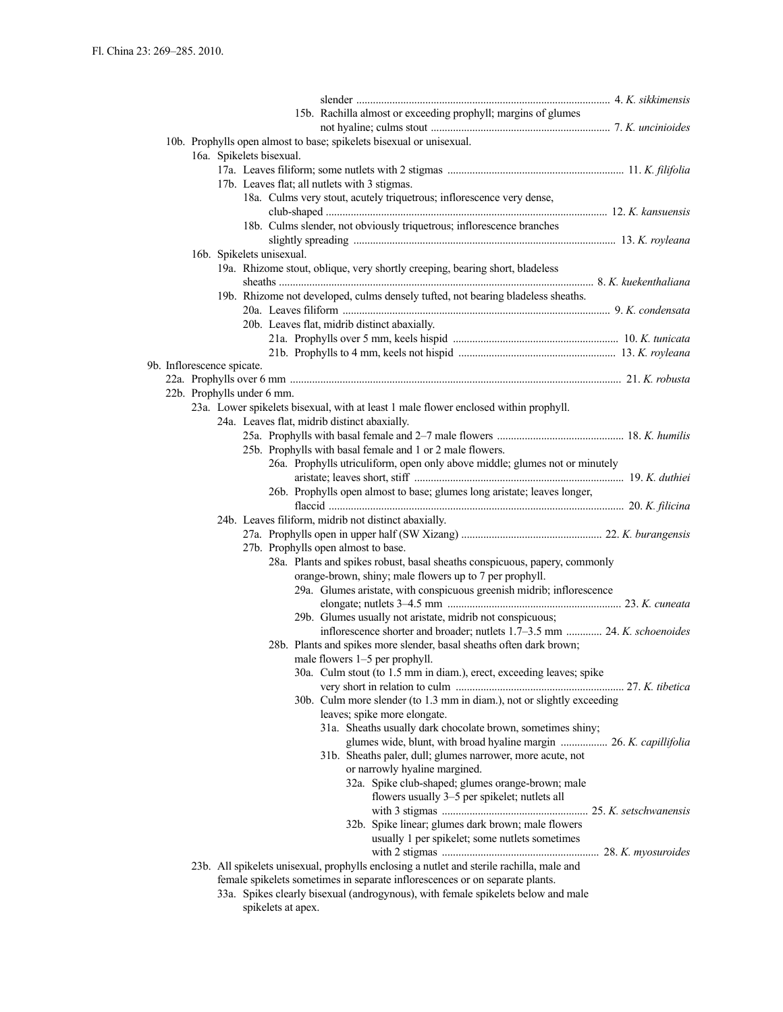|                                                                                                                        |                            |  |                           |  |  | 15b. Rachilla almost or exceeding prophyll; margins of glumes                               |  |                                                                                                      |  |  |  |                                                                           |
|------------------------------------------------------------------------------------------------------------------------|----------------------------|--|---------------------------|--|--|---------------------------------------------------------------------------------------------|--|------------------------------------------------------------------------------------------------------|--|--|--|---------------------------------------------------------------------------|
|                                                                                                                        |                            |  |                           |  |  | 10b. Prophylls open almost to base; spikelets bisexual or unisexual.                        |  |                                                                                                      |  |  |  |                                                                           |
|                                                                                                                        |                            |  | 16a. Spikelets bisexual.  |  |  |                                                                                             |  |                                                                                                      |  |  |  |                                                                           |
|                                                                                                                        |                            |  |                           |  |  |                                                                                             |  |                                                                                                      |  |  |  |                                                                           |
| 17b. Leaves flat; all nutlets with 3 stigmas.<br>18a. Culms very stout, acutely triquetrous; inflorescence very dense, |                            |  |                           |  |  |                                                                                             |  |                                                                                                      |  |  |  |                                                                           |
|                                                                                                                        |                            |  |                           |  |  |                                                                                             |  |                                                                                                      |  |  |  |                                                                           |
|                                                                                                                        |                            |  |                           |  |  | 18b. Culms slender, not obviously triquetrous; inflorescence branches                       |  |                                                                                                      |  |  |  |                                                                           |
|                                                                                                                        |                            |  |                           |  |  |                                                                                             |  |                                                                                                      |  |  |  |                                                                           |
|                                                                                                                        |                            |  | 16b. Spikelets unisexual. |  |  |                                                                                             |  |                                                                                                      |  |  |  |                                                                           |
|                                                                                                                        |                            |  |                           |  |  | 19a. Rhizome stout, oblique, very shortly creeping, bearing short, bladeless                |  |                                                                                                      |  |  |  |                                                                           |
|                                                                                                                        |                            |  |                           |  |  | 19b. Rhizome not developed, culms densely tufted, not bearing bladeless sheaths.            |  |                                                                                                      |  |  |  |                                                                           |
|                                                                                                                        |                            |  |                           |  |  |                                                                                             |  |                                                                                                      |  |  |  |                                                                           |
|                                                                                                                        |                            |  |                           |  |  | 20b. Leaves flat, midrib distinct abaxially.                                                |  |                                                                                                      |  |  |  |                                                                           |
|                                                                                                                        |                            |  |                           |  |  |                                                                                             |  |                                                                                                      |  |  |  |                                                                           |
|                                                                                                                        |                            |  |                           |  |  |                                                                                             |  |                                                                                                      |  |  |  |                                                                           |
|                                                                                                                        | 9b. Inflorescence spicate. |  |                           |  |  |                                                                                             |  |                                                                                                      |  |  |  |                                                                           |
|                                                                                                                        |                            |  |                           |  |  |                                                                                             |  |                                                                                                      |  |  |  |                                                                           |
|                                                                                                                        | 22b. Prophylls under 6 mm. |  |                           |  |  | 23a. Lower spikelets bisexual, with at least 1 male flower enclosed within prophyll.        |  |                                                                                                      |  |  |  |                                                                           |
|                                                                                                                        |                            |  |                           |  |  | 24a. Leaves flat, midrib distinct abaxially.                                                |  |                                                                                                      |  |  |  |                                                                           |
|                                                                                                                        |                            |  |                           |  |  |                                                                                             |  |                                                                                                      |  |  |  |                                                                           |
|                                                                                                                        |                            |  |                           |  |  | 25b. Prophylls with basal female and 1 or 2 male flowers.                                   |  |                                                                                                      |  |  |  |                                                                           |
|                                                                                                                        |                            |  |                           |  |  | 26a. Prophylls utriculiform, open only above middle; glumes not or minutely                 |  |                                                                                                      |  |  |  |                                                                           |
|                                                                                                                        |                            |  |                           |  |  |                                                                                             |  |                                                                                                      |  |  |  |                                                                           |
|                                                                                                                        |                            |  |                           |  |  | 26b. Prophylls open almost to base; glumes long aristate; leaves longer,                    |  |                                                                                                      |  |  |  |                                                                           |
|                                                                                                                        |                            |  |                           |  |  | 24b. Leaves filiform, midrib not distinct abaxially.                                        |  |                                                                                                      |  |  |  |                                                                           |
|                                                                                                                        |                            |  |                           |  |  |                                                                                             |  |                                                                                                      |  |  |  |                                                                           |
|                                                                                                                        |                            |  |                           |  |  | 27b. Prophylls open almost to base.                                                         |  |                                                                                                      |  |  |  |                                                                           |
|                                                                                                                        |                            |  |                           |  |  | 28a. Plants and spikes robust, basal sheaths conspicuous, papery, commonly                  |  |                                                                                                      |  |  |  |                                                                           |
|                                                                                                                        |                            |  |                           |  |  | orange-brown, shiny; male flowers up to 7 per prophyll.                                     |  |                                                                                                      |  |  |  |                                                                           |
|                                                                                                                        |                            |  |                           |  |  | 29a. Glumes aristate, with conspicuous greenish midrib; inflorescence                       |  |                                                                                                      |  |  |  |                                                                           |
|                                                                                                                        |                            |  |                           |  |  |                                                                                             |  |                                                                                                      |  |  |  |                                                                           |
|                                                                                                                        |                            |  |                           |  |  | 29b. Glumes usually not aristate, midrib not conspicuous;                                   |  |                                                                                                      |  |  |  | inflorescence shorter and broader; nutlets 1.7–3.5 mm  24. K. schoenoides |
|                                                                                                                        |                            |  |                           |  |  | 28b. Plants and spikes more slender, basal sheaths often dark brown;                        |  |                                                                                                      |  |  |  |                                                                           |
|                                                                                                                        |                            |  |                           |  |  | male flowers 1-5 per prophyll.                                                              |  |                                                                                                      |  |  |  |                                                                           |
|                                                                                                                        |                            |  |                           |  |  | 30a. Culm stout (to 1.5 mm in diam.), erect, exceeding leaves; spike                        |  |                                                                                                      |  |  |  |                                                                           |
|                                                                                                                        |                            |  |                           |  |  |                                                                                             |  |                                                                                                      |  |  |  |                                                                           |
|                                                                                                                        |                            |  |                           |  |  | 30b. Culm more slender (to 1.3 mm in diam.), not or slightly exceeding                      |  |                                                                                                      |  |  |  |                                                                           |
|                                                                                                                        |                            |  |                           |  |  | leaves; spike more elongate.<br>31a. Sheaths usually dark chocolate brown, sometimes shiny; |  |                                                                                                      |  |  |  |                                                                           |
|                                                                                                                        |                            |  |                           |  |  |                                                                                             |  |                                                                                                      |  |  |  | glumes wide, blunt, with broad hyaline margin  26. K. capillifolia        |
|                                                                                                                        |                            |  |                           |  |  | 31b. Sheaths paler, dull; glumes narrower, more acute, not                                  |  |                                                                                                      |  |  |  |                                                                           |
|                                                                                                                        |                            |  |                           |  |  |                                                                                             |  | or narrowly hyaline margined.                                                                        |  |  |  |                                                                           |
|                                                                                                                        |                            |  |                           |  |  |                                                                                             |  | 32a. Spike club-shaped; glumes orange-brown; male                                                    |  |  |  |                                                                           |
|                                                                                                                        |                            |  |                           |  |  |                                                                                             |  | flowers usually 3–5 per spikelet; nutlets all                                                        |  |  |  |                                                                           |
|                                                                                                                        |                            |  |                           |  |  |                                                                                             |  |                                                                                                      |  |  |  |                                                                           |
|                                                                                                                        |                            |  |                           |  |  |                                                                                             |  | 32b. Spike linear; glumes dark brown; male flowers<br>usually 1 per spikelet; some nutlets sometimes |  |  |  |                                                                           |
|                                                                                                                        |                            |  |                           |  |  |                                                                                             |  |                                                                                                      |  |  |  |                                                                           |
|                                                                                                                        |                            |  |                           |  |  | 23b. All spikelets unisexual, prophylls enclosing a nutlet and sterile rachilla, male and   |  |                                                                                                      |  |  |  |                                                                           |
|                                                                                                                        |                            |  |                           |  |  | female spikelets sometimes in separate inflorescences or on separate plants.                |  |                                                                                                      |  |  |  |                                                                           |
|                                                                                                                        |                            |  |                           |  |  | 33a Spikes clearly bisexual (androgynous) with female spikelets below and male              |  |                                                                                                      |  |  |  |                                                                           |

33a. Spikes clearly bisexual (androgynous), with female spikelets below and male spikelets at apex.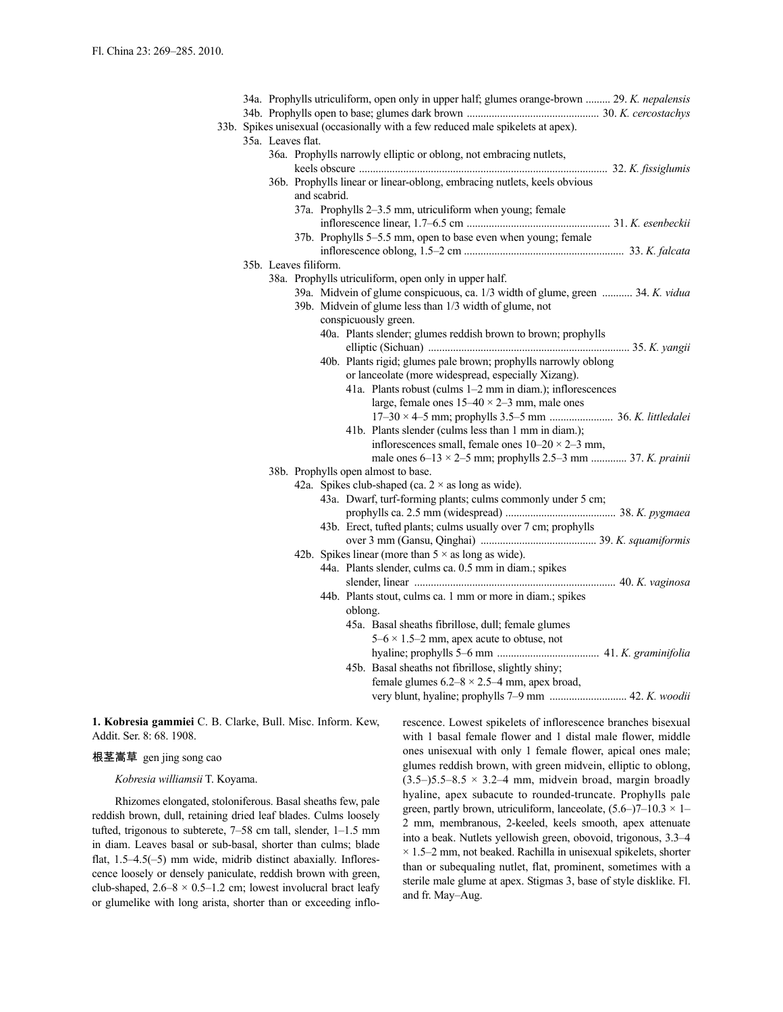|  |  |                       | 34a. Prophylls utriculiform, open only in upper half; glumes orange-brown  29. K. nepalensis |
|--|--|-----------------------|----------------------------------------------------------------------------------------------|
|  |  |                       |                                                                                              |
|  |  |                       | 33b. Spikes unisexual (occasionally with a few reduced male spikelets at apex).              |
|  |  | 35a. Leaves flat.     |                                                                                              |
|  |  |                       | 36a. Prophylls narrowly elliptic or oblong, not embracing nutlets,                           |
|  |  |                       |                                                                                              |
|  |  | and scabrid.          | 36b. Prophylls linear or linear-oblong, embracing nutlets, keels obvious                     |
|  |  |                       | 37a. Prophylls 2–3.5 mm, utriculiform when young; female                                     |
|  |  |                       |                                                                                              |
|  |  |                       | 37b. Prophylls 5–5.5 mm, open to base even when young; female                                |
|  |  |                       |                                                                                              |
|  |  | 35b. Leaves filiform. |                                                                                              |
|  |  |                       | 38a. Prophylls utriculiform, open only in upper half.                                        |
|  |  |                       | 39a. Midvein of glume conspicuous, ca. 1/3 width of glume, green  34. K. vidua               |
|  |  |                       | 39b. Midvein of glume less than 1/3 width of glume, not                                      |
|  |  |                       | conspicuously green.                                                                         |
|  |  |                       | 40a. Plants slender; glumes reddish brown to brown; prophylls                                |
|  |  |                       |                                                                                              |
|  |  |                       | 40b. Plants rigid; glumes pale brown; prophylls narrowly oblong                              |
|  |  |                       | or lanceolate (more widespread, especially Xizang).                                          |
|  |  |                       | 41a. Plants robust (culms 1-2 mm in diam.); inflorescences                                   |
|  |  |                       | large, female ones $15-40 \times 2-3$ mm, male ones                                          |
|  |  |                       |                                                                                              |
|  |  |                       | 41b. Plants slender (culms less than 1 mm in diam.);                                         |
|  |  |                       | inflorescences small, female ones $10-20 \times 2-3$ mm,                                     |
|  |  |                       | male ones $6-13 \times 2-5$ mm; prophylls 2.5-3 mm  37. K. prainii                           |
|  |  |                       | 38b. Prophylls open almost to base.                                                          |
|  |  |                       | 42a. Spikes club-shaped (ca. $2 \times$ as long as wide).                                    |
|  |  |                       | 43a. Dwarf, turf-forming plants; culms commonly under 5 cm;                                  |
|  |  |                       |                                                                                              |
|  |  |                       | 43b. Erect, tufted plants; culms usually over 7 cm; prophylls                                |
|  |  |                       |                                                                                              |
|  |  |                       | 42b. Spikes linear (more than $5 \times$ as long as wide).                                   |
|  |  |                       | 44a. Plants slender, culms ca. 0.5 mm in diam.; spikes                                       |
|  |  |                       |                                                                                              |
|  |  |                       | 44b. Plants stout, culms ca. 1 mm or more in diam.; spikes                                   |
|  |  |                       | oblong.                                                                                      |
|  |  |                       | 45a. Basal sheaths fibrillose, dull; female glumes                                           |
|  |  |                       | $5-6 \times 1.5-2$ mm, apex acute to obtuse, not                                             |
|  |  |                       |                                                                                              |
|  |  |                       | 45b. Basal sheaths not fibrillose, slightly shiny;                                           |
|  |  |                       | female glumes $6.2 - 8 \times 2.5 - 4$ mm, apex broad,                                       |
|  |  |                       |                                                                                              |
|  |  |                       |                                                                                              |

**1. Kobresia gammiei** C. B. Clarke, Bull. Misc. Inform. Kew, Addit. Ser. 8: 68. 1908.

### 根茎嵩草 gen jing song cao

### *Kobresia williamsii* T. Koyama.

Rhizomes elongated, stoloniferous. Basal sheaths few, pale reddish brown, dull, retaining dried leaf blades. Culms loosely tufted, trigonous to subterete, 7–58 cm tall, slender, 1–1.5 mm in diam. Leaves basal or sub-basal, shorter than culms; blade flat, 1.5–4.5(–5) mm wide, midrib distinct abaxially. Inflorescence loosely or densely paniculate, reddish brown with green, club-shaped,  $2.6-8 \times 0.5-1.2$  cm; lowest involucral bract leafy or glumelike with long arista, shorter than or exceeding inflorescence. Lowest spikelets of inflorescence branches bisexual with 1 basal female flower and 1 distal male flower, middle ones unisexual with only 1 female flower, apical ones male; glumes reddish brown, with green midvein, elliptic to oblong,  $(3.5-)5.5-8.5 \times 3.2-4$  mm, midvein broad, margin broadly hyaline, apex subacute to rounded-truncate. Prophylls pale green, partly brown, utriculiform, lanceolate,  $(5.6-7-10.3 \times 1-$ 2 mm, membranous, 2-keeled, keels smooth, apex attenuate into a beak. Nutlets yellowish green, obovoid, trigonous, 3.3–4  $\times$  1.5–2 mm, not beaked. Rachilla in unisexual spikelets, shorter than or subequaling nutlet, flat, prominent, sometimes with a sterile male glume at apex. Stigmas 3, base of style disklike. Fl. and fr. May–Aug.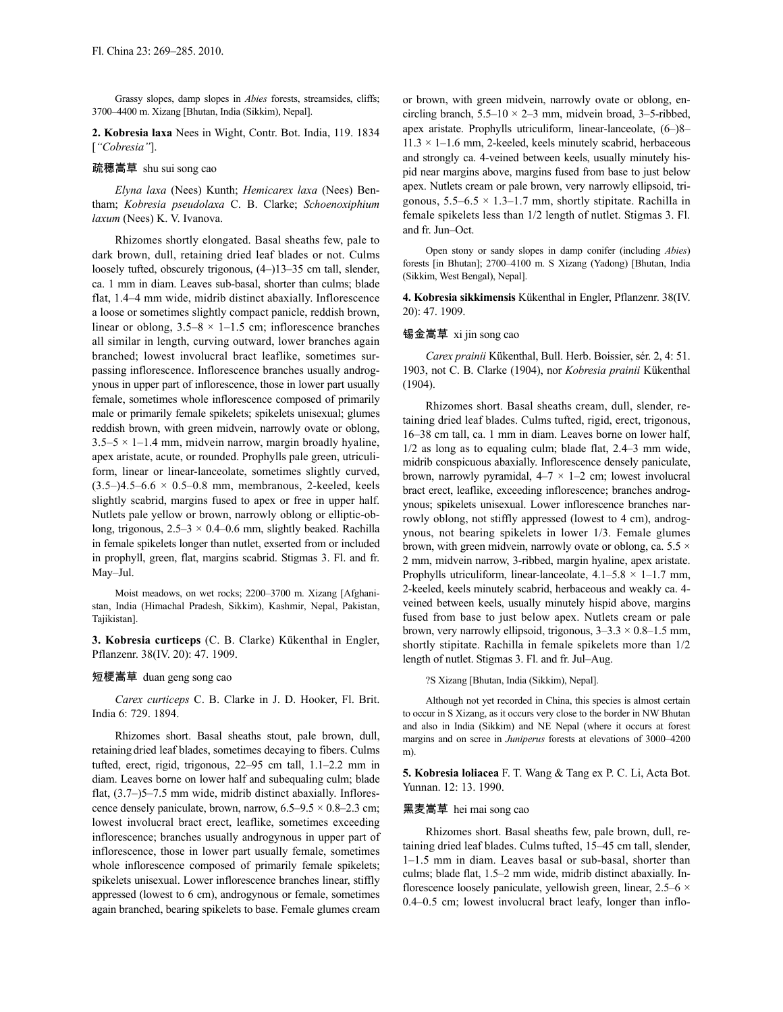Grassy slopes, damp slopes in *Abies* forests, streamsides, cliffs; 3700–4400 m. Xizang [Bhutan, India (Sikkim), Nepal].

**2. Kobresia laxa** Nees in Wight, Contr. Bot. India, 119. 1834 [*"Cobresia"*].

### 疏穗嵩草 shu sui song cao

*Elyna laxa* (Nees) Kunth; *Hemicarex laxa* (Nees) Bentham; *Kobresia pseudolaxa* C. B. Clarke; *Schoenoxiphium laxum* (Nees) K. V. Ivanova.

Rhizomes shortly elongated. Basal sheaths few, pale to dark brown, dull, retaining dried leaf blades or not. Culms loosely tufted, obscurely trigonous, (4–)13–35 cm tall, slender, ca. 1 mm in diam. Leaves sub-basal, shorter than culms; blade flat, 1.4–4 mm wide, midrib distinct abaxially. Inflorescence a loose or sometimes slightly compact panicle, reddish brown, linear or oblong,  $3.5-8 \times 1-1.5$  cm; inflorescence branches all similar in length, curving outward, lower branches again branched; lowest involucral bract leaflike, sometimes surpassing inflorescence. Inflorescence branches usually androgynous in upper part of inflorescence, those in lower part usually female, sometimes whole inflorescence composed of primarily male or primarily female spikelets; spikelets unisexual; glumes reddish brown, with green midvein, narrowly ovate or oblong,  $3.5-5 \times 1-1.4$  mm, midvein narrow, margin broadly hyaline, apex aristate, acute, or rounded. Prophylls pale green, utriculiform, linear or linear-lanceolate, sometimes slightly curved,  $(3.5-)4.5-6.6 \times 0.5-0.8$  mm, membranous, 2-keeled, keels slightly scabrid, margins fused to apex or free in upper half. Nutlets pale yellow or brown, narrowly oblong or elliptic-oblong, trigonous,  $2.5-3 \times 0.4-0.6$  mm, slightly beaked. Rachilla in female spikelets longer than nutlet, exserted from or included in prophyll, green, flat, margins scabrid. Stigmas 3. Fl. and fr. May–Jul.

Moist meadows, on wet rocks; 2200–3700 m. Xizang [Afghanistan, India (Himachal Pradesh, Sikkim), Kashmir, Nepal, Pakistan, Tajikistan].

**3. Kobresia curticeps** (C. B. Clarke) Kükenthal in Engler, Pflanzenr. 38(IV. 20): 47. 1909.

#### 短梗嵩草 duan geng song cao

*Carex curticeps* C. B. Clarke in J. D. Hooker, Fl. Brit. India 6: 729. 1894.

Rhizomes short. Basal sheaths stout, pale brown, dull, retaining dried leaf blades, sometimes decaying to fibers. Culms tufted, erect, rigid, trigonous, 22–95 cm tall, 1.1–2.2 mm in diam. Leaves borne on lower half and subequaling culm; blade flat, (3.7–)5–7.5 mm wide, midrib distinct abaxially. Inflorescence densely paniculate, brown, narrow,  $6.5-9.5 \times 0.8-2.3$  cm; lowest involucral bract erect, leaflike, sometimes exceeding inflorescence; branches usually androgynous in upper part of inflorescence, those in lower part usually female, sometimes whole inflorescence composed of primarily female spikelets; spikelets unisexual. Lower inflorescence branches linear, stiffly appressed (lowest to 6 cm), androgynous or female, sometimes again branched, bearing spikelets to base. Female glumes cream or brown, with green midvein, narrowly ovate or oblong, encircling branch,  $5.5-10 \times 2-3$  mm, midvein broad,  $3-5$ -ribbed, apex aristate. Prophylls utriculiform, linear-lanceolate, (6–)8–  $11.3 \times 1 - 1.6$  mm, 2-keeled, keels minutely scabrid, herbaceous and strongly ca. 4-veined between keels, usually minutely hispid near margins above, margins fused from base to just below apex. Nutlets cream or pale brown, very narrowly ellipsoid, trigonous,  $5.5-6.5 \times 1.3-1.7$  mm, shortly stipitate. Rachilla in female spikelets less than 1/2 length of nutlet. Stigmas 3. Fl. and fr. Jun–Oct.

Open stony or sandy slopes in damp conifer (including *Abies*) forests [in Bhutan]; 2700–4100 m. S Xizang (Yadong) [Bhutan, India (Sikkim, West Bengal), Nepal].

**4. Kobresia sikkimensis** Kükenthal in Engler, Pflanzenr. 38(IV. 20): 47. 1909.

### 锡金嵩草 xi jin song cao

*Carex prainii* Kükenthal, Bull. Herb. Boissier, sér. 2, 4: 51. 1903, not C. B. Clarke (1904), nor *Kobresia prainii* Kükenthal (1904).

Rhizomes short. Basal sheaths cream, dull, slender, retaining dried leaf blades. Culms tufted, rigid, erect, trigonous, 16–38 cm tall, ca. 1 mm in diam. Leaves borne on lower half, 1/2 as long as to equaling culm; blade flat, 2.4–3 mm wide, midrib conspicuous abaxially. Inflorescence densely paniculate, brown, narrowly pyramidal,  $4-7 \times 1-2$  cm; lowest involucral bract erect, leaflike, exceeding inflorescence; branches androgynous; spikelets unisexual. Lower inflorescence branches narrowly oblong, not stiffly appressed (lowest to 4 cm), androgynous, not bearing spikelets in lower 1/3. Female glumes brown, with green midvein, narrowly ovate or oblong, ca.  $5.5 \times$ 2 mm, midvein narrow, 3-ribbed, margin hyaline, apex aristate. Prophylls utriculiform, linear-lanceolate,  $4.1-5.8 \times 1-1.7$  mm, 2-keeled, keels minutely scabrid, herbaceous and weakly ca. 4 veined between keels, usually minutely hispid above, margins fused from base to just below apex. Nutlets cream or pale brown, very narrowly ellipsoid, trigonous,  $3-3.3 \times 0.8-1.5$  mm, shortly stipitate. Rachilla in female spikelets more than 1/2 length of nutlet. Stigmas 3. Fl. and fr. Jul–Aug.

?S Xizang [Bhutan, India (Sikkim), Nepal].

Although not yet recorded in China, this species is almost certain to occur in S Xizang, as it occurs very close to the border in NW Bhutan and also in India (Sikkim) and NE Nepal (where it occurs at forest margins and on scree in *Juniperus* forests at elevations of 3000–4200 m).

**5. Kobresia loliacea** F. T. Wang & Tang ex P. C. Li, Acta Bot. Yunnan. 12: 13. 1990.

### 黑麦嵩草 hei mai song cao

Rhizomes short. Basal sheaths few, pale brown, dull, retaining dried leaf blades. Culms tufted, 15–45 cm tall, slender, 1–1.5 mm in diam. Leaves basal or sub-basal, shorter than culms; blade flat, 1.5–2 mm wide, midrib distinct abaxially. Inflorescence loosely paniculate, yellowish green, linear,  $2.5-6 \times$ 0.4–0.5 cm; lowest involucral bract leafy, longer than inflo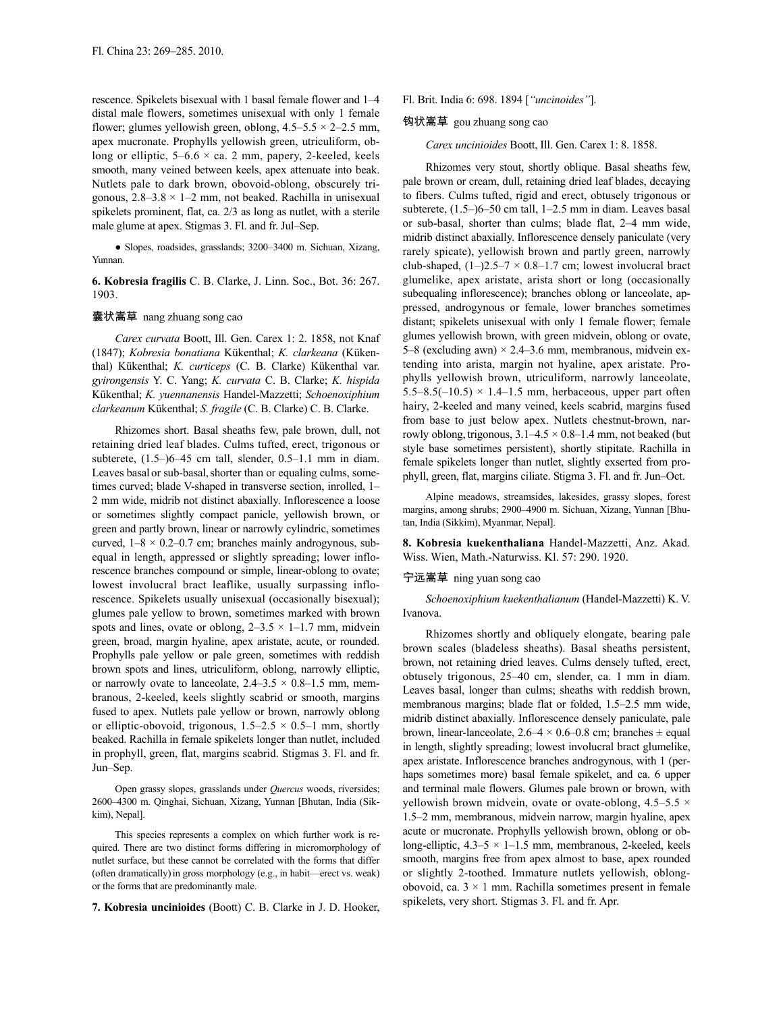rescence. Spikelets bisexual with 1 basal female flower and 1–4 distal male flowers, sometimes unisexual with only 1 female flower; glumes yellowish green, oblong,  $4.5-5.5 \times 2-2.5$  mm, apex mucronate. Prophylls yellowish green, utriculiform, oblong or elliptic,  $5-6.6 \times$  ca. 2 mm, papery, 2-keeled, keels smooth, many veined between keels, apex attenuate into beak. Nutlets pale to dark brown, obovoid-oblong, obscurely trigonous,  $2.8-3.8 \times 1-2$  mm, not beaked. Rachilla in unisexual spikelets prominent, flat, ca. 2/3 as long as nutlet, with a sterile male glume at apex. Stigmas 3. Fl. and fr. Jul–Sep.

● Slopes, roadsides, grasslands; 3200–3400 m. Sichuan, Xizang, Yunnan.

**6. Kobresia fragilis** C. B. Clarke, J. Linn. Soc., Bot. 36: 267. 1903.

### 囊状嵩草 nang zhuang song cao

*Carex curvata* Boott, Ill. Gen. Carex 1: 2. 1858, not Knaf (1847); *Kobresia bonatiana* Kükenthal; *K. clarkeana* (Kükenthal) Kükenthal; *K. curticeps* (C. B. Clarke) Kükenthal var. *gyirongensis* Y. C. Yang; *K. curvata* C. B. Clarke; *K. hispida* Kükenthal; *K. yuennanensis* Handel-Mazzetti; *Schoenoxiphium clarkeanum* Kükenthal; *S. fragile* (C. B. Clarke) C. B. Clarke.

Rhizomes short. Basal sheaths few, pale brown, dull, not retaining dried leaf blades. Culms tufted, erect, trigonous or subterete, (1.5–)6–45 cm tall, slender, 0.5–1.1 mm in diam. Leaves basal or sub-basal, shorter than or equaling culms, sometimes curved; blade V-shaped in transverse section, inrolled, 1– 2 mm wide, midrib not distinct abaxially. Inflorescence a loose or sometimes slightly compact panicle, yellowish brown, or green and partly brown, linear or narrowly cylindric, sometimes curved,  $1-8 \times 0.2-0.7$  cm; branches mainly androgynous, subequal in length, appressed or slightly spreading; lower inflorescence branches compound or simple, linear-oblong to ovate; lowest involucral bract leaflike, usually surpassing inflorescence. Spikelets usually unisexual (occasionally bisexual); glumes pale yellow to brown, sometimes marked with brown spots and lines, ovate or oblong,  $2-3.5 \times 1-1.7$  mm, midvein green, broad, margin hyaline, apex aristate, acute, or rounded. Prophylls pale yellow or pale green, sometimes with reddish brown spots and lines, utriculiform, oblong, narrowly elliptic, or narrowly ovate to lanceolate,  $2.4 - 3.5 \times 0.8 - 1.5$  mm, membranous, 2-keeled, keels slightly scabrid or smooth, margins fused to apex. Nutlets pale yellow or brown, narrowly oblong or elliptic-obovoid, trigonous,  $1.5-2.5 \times 0.5-1$  mm, shortly beaked. Rachilla in female spikelets longer than nutlet, included in prophyll, green, flat, margins scabrid. Stigmas 3. Fl. and fr. Jun–Sep.

Open grassy slopes, grasslands under *Quercus* woods, riversides; 2600–4300 m. Qinghai, Sichuan, Xizang, Yunnan [Bhutan, India (Sikkim), Nepal].

This species represents a complex on which further work is required. There are two distinct forms differing in micromorphology of nutlet surface, but these cannot be correlated with the forms that differ (often dramatically)in gross morphology (e.g., in habit—erect vs. weak) or the forms that are predominantly male.

**7. Kobresia uncinioides** (Boott) C. B. Clarke in J. D. Hooker,

### Fl. Brit. India 6: 698. 1894 [*"uncinoides"*].

# 钩状嵩草 gou zhuang song cao

#### *Carex uncinioides* Boott, Ill. Gen. Carex 1: 8. 1858.

Rhizomes very stout, shortly oblique. Basal sheaths few, pale brown or cream, dull, retaining dried leaf blades, decaying to fibers. Culms tufted, rigid and erect, obtusely trigonous or subterete, (1.5–)6–50 cm tall, 1–2.5 mm in diam. Leaves basal or sub-basal, shorter than culms; blade flat, 2–4 mm wide, midrib distinct abaxially. Inflorescence densely paniculate (very rarely spicate), yellowish brown and partly green, narrowly club-shaped,  $(1-)2.5-7 \times 0.8-1.7$  cm; lowest involucral bract glumelike, apex aristate, arista short or long (occasionally subequaling inflorescence); branches oblong or lanceolate, appressed, androgynous or female, lower branches sometimes distant; spikelets unisexual with only 1 female flower; female glumes yellowish brown, with green midvein, oblong or ovate, 5–8 (excluding awn)  $\times$  2.4–3.6 mm, membranous, midvein extending into arista, margin not hyaline, apex aristate. Prophylls yellowish brown, utriculiform, narrowly lanceolate, 5.5–8.5(–10.5)  $\times$  1.4–1.5 mm, herbaceous, upper part often hairy, 2-keeled and many veined, keels scabrid, margins fused from base to just below apex. Nutlets chestnut-brown, narrowly oblong, trigonous,  $3.1-4.5 \times 0.8-1.4$  mm, not beaked (but style base sometimes persistent), shortly stipitate. Rachilla in female spikelets longer than nutlet, slightly exserted from prophyll, green, flat, margins ciliate. Stigma 3. Fl. and fr. Jun–Oct.

Alpine meadows, streamsides, lakesides, grassy slopes, forest margins, among shrubs; 2900–4900 m. Sichuan, Xizang, Yunnan [Bhutan, India (Sikkim), Myanmar, Nepal].

**8. Kobresia kuekenthaliana** Handel-Mazzetti, Anz. Akad. Wiss. Wien, Math.-Naturwiss. Kl. 57: 290. 1920.

## 宁远嵩草 ning yuan song cao

*Schoenoxiphium kuekenthalianum* (Handel-Mazzetti) K. V. Ivanova.

Rhizomes shortly and obliquely elongate, bearing pale brown scales (bladeless sheaths). Basal sheaths persistent, brown, not retaining dried leaves. Culms densely tufted, erect, obtusely trigonous, 25–40 cm, slender, ca. 1 mm in diam. Leaves basal, longer than culms; sheaths with reddish brown, membranous margins; blade flat or folded, 1.5–2.5 mm wide, midrib distinct abaxially. Inflorescence densely paniculate, pale brown, linear-lanceolate,  $2.6-4 \times 0.6-0.8$  cm; branches  $\pm$  equal in length, slightly spreading; lowest involucral bract glumelike, apex aristate. Inflorescence branches androgynous, with 1 (perhaps sometimes more) basal female spikelet, and ca. 6 upper and terminal male flowers. Glumes pale brown or brown, with yellowish brown midvein, ovate or ovate-oblong,  $4.5-5.5 \times$ 1.5–2 mm, membranous, midvein narrow, margin hyaline, apex acute or mucronate. Prophylls yellowish brown, oblong or oblong-elliptic,  $4.3-5 \times 1-1.5$  mm, membranous, 2-keeled, keels smooth, margins free from apex almost to base, apex rounded or slightly 2-toothed. Immature nutlets yellowish, oblongobovoid, ca.  $3 \times 1$  mm. Rachilla sometimes present in female spikelets, very short. Stigmas 3. Fl. and fr. Apr.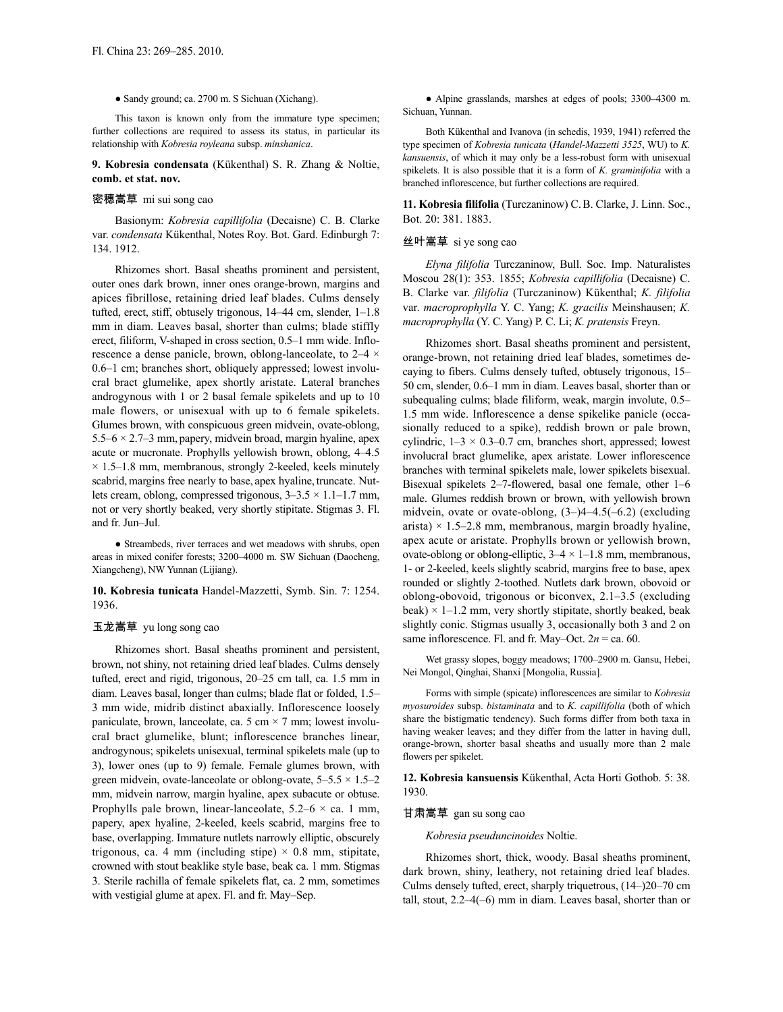#### ● Sandy ground; ca. 2700 m. S Sichuan (Xichang).

This taxon is known only from the immature type specimen; further collections are required to assess its status, in particular its relationship with *Kobresia royleana* subsp. *minshanica*.

#### **9. Kobresia condensata** (Kükenthal) S. R. Zhang & Noltie, **comb. et stat. nov.**

# 密穗嵩草 mi sui song cao

Basionym: *Kobresia capillifolia* (Decaisne) C. B. Clarke var. *condensata* Kükenthal, Notes Roy. Bot. Gard. Edinburgh 7: 134. 1912.

Rhizomes short. Basal sheaths prominent and persistent, outer ones dark brown, inner ones orange-brown, margins and apices fibrillose, retaining dried leaf blades. Culms densely tufted, erect, stiff, obtusely trigonous, 14–44 cm, slender, 1–1.8 mm in diam. Leaves basal, shorter than culms; blade stiffly erect, filiform, V-shaped in cross section, 0.5–1 mm wide. Inflorescence a dense panicle, brown, oblong-lanceolate, to 2–4 × 0.6–1 cm; branches short, obliquely appressed; lowest involucral bract glumelike, apex shortly aristate. Lateral branches androgynous with 1 or 2 basal female spikelets and up to 10 male flowers, or unisexual with up to 6 female spikelets. Glumes brown, with conspicuous green midvein, ovate-oblong, 5.5–6  $\times$  2.7–3 mm, papery, midvein broad, margin hyaline, apex acute or mucronate. Prophylls yellowish brown, oblong, 4–4.5  $\times$  1.5–1.8 mm, membranous, strongly 2-keeled, keels minutely scabrid, margins free nearly to base, apex hyaline, truncate. Nutlets cream, oblong, compressed trigonous,  $3-3.5 \times 1.1-1.7$  mm, not or very shortly beaked, very shortly stipitate. Stigmas 3. Fl. and fr. Jun–Jul.

• Streambeds, river terraces and wet meadows with shrubs, open areas in mixed conifer forests; 3200–4000 m. SW Sichuan (Daocheng, Xiangcheng), NW Yunnan (Lijiang).

**10. Kobresia tunicata** Handel-Mazzetti, Symb. Sin. 7: 1254. 1936.

### 玉龙嵩草 yu long song cao

Rhizomes short. Basal sheaths prominent and persistent, brown, not shiny, not retaining dried leaf blades. Culms densely tufted, erect and rigid, trigonous, 20–25 cm tall, ca. 1.5 mm in diam. Leaves basal, longer than culms; blade flat or folded, 1.5– 3 mm wide, midrib distinct abaxially. Inflorescence loosely paniculate, brown, lanceolate, ca. 5 cm  $\times$  7 mm; lowest involucral bract glumelike, blunt; inflorescence branches linear, androgynous; spikelets unisexual, terminal spikelets male (up to 3), lower ones (up to 9) female. Female glumes brown, with green midvein, ovate-lanceolate or oblong-ovate,  $5-5.5 \times 1.5-2$ mm, midvein narrow, margin hyaline, apex subacute or obtuse. Prophylls pale brown, linear-lanceolate,  $5.2-6 \times$  ca. 1 mm, papery, apex hyaline, 2-keeled, keels scabrid, margins free to base, overlapping. Immature nutlets narrowly elliptic, obscurely trigonous, ca. 4 mm (including stipe)  $\times$  0.8 mm, stipitate, crowned with stout beaklike style base, beak ca. 1 mm. Stigmas 3. Sterile rachilla of female spikelets flat, ca. 2 mm, sometimes with vestigial glume at apex. Fl. and fr. May–Sep.

● Alpine grasslands, marshes at edges of pools; 3300–4300 m. Sichuan, Yunnan.

Both Kükenthal and Ivanova (in schedis, 1939, 1941) referred the type specimen of *Kobresia tunicata* (*Handel-Mazzetti 3525*, WU) to *K. kansuensis*, of which it may only be a less-robust form with unisexual spikelets. It is also possible that it is a form of *K. graminifolia* with a branched inflorescence, but further collections are required.

**11. Kobresia filifolia** (Turczaninow) C.B. Clarke, J. Linn. Soc., Bot. 20: 381. 1883.

#### 丝叶嵩草 si ye song cao

*Elyna filifolia* Turczaninow, Bull. Soc. Imp. Naturalistes Moscou 28(1): 353. 1855; *Kobresia capillifolia* (Decaisne) C. B. Clarke var. *filifolia* (Turczaninow) Kükenthal; *K. filifolia* var. *macroprophylla* Y. C. Yang; *K. gracilis* Meinshausen; *K. macroprophylla* (Y. C. Yang) P. C. Li; *K. pratensis* Freyn.

Rhizomes short. Basal sheaths prominent and persistent, orange-brown, not retaining dried leaf blades, sometimes decaying to fibers. Culms densely tufted, obtusely trigonous, 15– 50 cm, slender, 0.6–1 mm in diam. Leaves basal, shorter than or subequaling culms; blade filiform, weak, margin involute, 0.5– 1.5 mm wide. Inflorescence a dense spikelike panicle (occasionally reduced to a spike), reddish brown or pale brown, cylindric,  $1-3 \times 0.3-0.7$  cm, branches short, appressed; lowest involucral bract glumelike, apex aristate. Lower inflorescence branches with terminal spikelets male, lower spikelets bisexual. Bisexual spikelets 2–7-flowered, basal one female, other 1–6 male. Glumes reddish brown or brown, with yellowish brown midvein, ovate or ovate-oblong, (3–)4–4.5(–6.2) (excluding arista)  $\times$  1.5–2.8 mm, membranous, margin broadly hyaline, apex acute or aristate. Prophylls brown or yellowish brown, ovate-oblong or oblong-elliptic,  $3-4 \times 1-1.8$  mm, membranous, 1- or 2-keeled, keels slightly scabrid, margins free to base, apex rounded or slightly 2-toothed. Nutlets dark brown, obovoid or oblong-obovoid, trigonous or biconvex, 2.1–3.5 (excluding beak)  $\times$  1–1.2 mm, very shortly stipitate, shortly beaked, beak slightly conic. Stigmas usually 3, occasionally both 3 and 2 on same inflorescence. Fl. and fr. May–Oct.  $2n = ca$ . 60.

Wet grassy slopes, boggy meadows; 1700–2900 m. Gansu, Hebei, Nei Mongol, Qinghai, Shanxi [Mongolia, Russia].

Forms with simple (spicate) inflorescences are similar to *Kobresia myosuroides* subsp. *bistaminata* and to *K. capillifolia* (both of which share the bistigmatic tendency). Such forms differ from both taxa in having weaker leaves; and they differ from the latter in having dull, orange-brown, shorter basal sheaths and usually more than 2 male flowers per spikelet.

**12. Kobresia kansuensis** Kükenthal, Acta Horti Gothob. 5: 38. 1930.

### 甘肃嵩草 gan su song cao

*Kobresia pseuduncinoides* Noltie.

Rhizomes short, thick, woody. Basal sheaths prominent, dark brown, shiny, leathery, not retaining dried leaf blades. Culms densely tufted, erect, sharply triquetrous, (14–)20–70 cm tall, stout, 2.2–4(–6) mm in diam. Leaves basal, shorter than or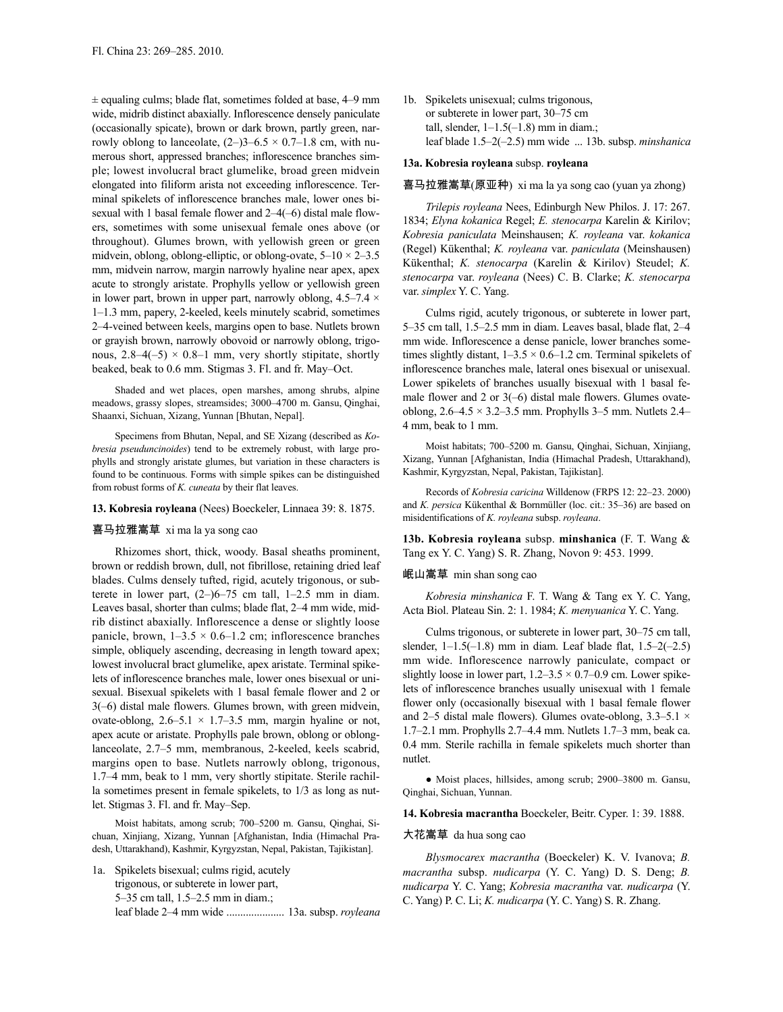$\pm$  equaling culms; blade flat, sometimes folded at base, 4–9 mm wide, midrib distinct abaxially. Inflorescence densely paniculate (occasionally spicate), brown or dark brown, partly green, narrowly oblong to lanceolate,  $(2-)3-6.5 \times 0.7-1.8$  cm, with numerous short, appressed branches; inflorescence branches simple; lowest involucral bract glumelike, broad green midvein elongated into filiform arista not exceeding inflorescence. Terminal spikelets of inflorescence branches male, lower ones bisexual with 1 basal female flower and 2–4(–6) distal male flowers, sometimes with some unisexual female ones above (or throughout). Glumes brown, with yellowish green or green midvein, oblong, oblong-elliptic, or oblong-ovate,  $5-10 \times 2-3.5$ mm, midvein narrow, margin narrowly hyaline near apex, apex acute to strongly aristate. Prophylls yellow or yellowish green in lower part, brown in upper part, narrowly oblong,  $4.5-7.4 \times$ 1–1.3 mm, papery, 2-keeled, keels minutely scabrid, sometimes 2–4-veined between keels, margins open to base. Nutlets brown or grayish brown, narrowly obovoid or narrowly oblong, trigonous,  $2.8-4(-5) \times 0.8-1$  mm, very shortly stipitate, shortly beaked, beak to 0.6 mm. Stigmas 3. Fl. and fr. May–Oct.

Shaded and wet places, open marshes, among shrubs, alpine meadows, grassy slopes, streamsides; 3000–4700 m. Gansu, Qinghai, Shaanxi, Sichuan, Xizang, Yunnan [Bhutan, Nepal].

Specimens from Bhutan, Nepal, and SE Xizang (described as *Kobresia pseuduncinoides*) tend to be extremely robust, with large prophylls and strongly aristate glumes, but variation in these characters is found to be continuous. Forms with simple spikes can be distinguished from robust forms of *K. cuneata* by their flat leaves.

#### **13. Kobresia royleana** (Nees) Boeckeler, Linnaea 39: 8. 1875.

### 喜马拉雅嵩草 xi ma la ya song cao

Rhizomes short, thick, woody. Basal sheaths prominent, brown or reddish brown, dull, not fibrillose, retaining dried leaf blades. Culms densely tufted, rigid, acutely trigonous, or subterete in lower part,  $(2-)6-75$  cm tall,  $1-2.5$  mm in diam. Leaves basal, shorter than culms; blade flat, 2–4 mm wide, midrib distinct abaxially. Inflorescence a dense or slightly loose panicle, brown,  $1-3.5 \times 0.6-1.2$  cm; inflorescence branches simple, obliquely ascending, decreasing in length toward apex; lowest involucral bract glumelike, apex aristate. Terminal spikelets of inflorescence branches male, lower ones bisexual or unisexual. Bisexual spikelets with 1 basal female flower and 2 or 3(–6) distal male flowers. Glumes brown, with green midvein, ovate-oblong,  $2.6-5.1 \times 1.7-3.5$  mm, margin hyaline or not, apex acute or aristate. Prophylls pale brown, oblong or oblonglanceolate, 2.7–5 mm, membranous, 2-keeled, keels scabrid, margins open to base. Nutlets narrowly oblong, trigonous, 1.7–4 mm, beak to 1 mm, very shortly stipitate. Sterile rachilla sometimes present in female spikelets, to 1/3 as long as nutlet. Stigmas 3. Fl. and fr. May–Sep.

Moist habitats, among scrub; 700–5200 m. Gansu, Qinghai, Sichuan, Xinjiang, Xizang, Yunnan [Afghanistan, India (Himachal Pradesh, Uttarakhand), Kashmir, Kyrgyzstan, Nepal, Pakistan, Tajikistan].

1a. Spikelets bisexual; culms rigid, acutely trigonous, or subterete in lower part, 5–35 cm tall, 1.5–2.5 mm in diam.; leaf blade 2–4 mm wide ..................... 13a. subsp. *royleana* 1b. Spikelets unisexual; culms trigonous, or subterete in lower part, 30–75 cm tall, slender,  $1-1.5(-1.8)$  mm in diam.; leaf blade 1.5–2(–2.5) mm wide ... 13b. subsp. *minshanica*

# **13a. Kobresia royleana** subsp. **royleana**

### 喜马拉雅嵩草(原亚种) xi ma la ya song cao (yuan ya zhong)

*Trilepis royleana* Nees, Edinburgh New Philos. J. 17: 267. 1834; *Elyna kokanica* Regel; *E. stenocarpa* Karelin & Kirilov; *Kobresia paniculata* Meinshausen; *K. royleana* var. *kokanica* (Regel) Kükenthal; *K. royleana* var. *paniculata* (Meinshausen) Kükenthal; *K. stenocarpa* (Karelin & Kirilov) Steudel; *K. stenocarpa* var. *royleana* (Nees) C. B. Clarke; *K. stenocarpa* var. *simplex* Y. C. Yang.

Culms rigid, acutely trigonous, or subterete in lower part, 5–35 cm tall, 1.5–2.5 mm in diam. Leaves basal, blade flat, 2–4 mm wide. Inflorescence a dense panicle, lower branches sometimes slightly distant,  $1-3.5 \times 0.6-1.2$  cm. Terminal spikelets of inflorescence branches male, lateral ones bisexual or unisexual. Lower spikelets of branches usually bisexual with 1 basal female flower and 2 or 3(–6) distal male flowers. Glumes ovateoblong,  $2.6-4.5 \times 3.2-3.5$  mm. Prophylls 3-5 mm. Nutlets 2.4-4 mm, beak to 1 mm.

Moist habitats; 700–5200 m. Gansu, Qinghai, Sichuan, Xinjiang, Xizang, Yunnan [Afghanistan, India (Himachal Pradesh, Uttarakhand), Kashmir, Kyrgyzstan, Nepal, Pakistan, Tajikistan].

Records of *Kobresia caricina* Willdenow (FRPS 12: 22–23. 2000) and *K. persica* Kükenthal & Bornmüller (loc. cit.: 35–36) are based on misidentifications of *K. royleana* subsp. *royleana*.

**13b. Kobresia royleana** subsp. **minshanica** (F. T. Wang & Tang ex Y. C. Yang) S. R. Zhang, Novon 9: 453. 1999.

### 岷山嵩草 min shan song cao

*Kobresia minshanica* F. T. Wang & Tang ex Y. C. Yang, Acta Biol. Plateau Sin. 2: 1. 1984; *K. menyuanica* Y. C. Yang.

Culms trigonous, or subterete in lower part, 30–75 cm tall, slender,  $1-1.5(-1.8)$  mm in diam. Leaf blade flat,  $1.5-2(-2.5)$ mm wide. Inflorescence narrowly paniculate, compact or slightly loose in lower part,  $1.2 - 3.5 \times 0.7 - 0.9$  cm. Lower spikelets of inflorescence branches usually unisexual with 1 female flower only (occasionally bisexual with 1 basal female flower and 2–5 distal male flowers). Glumes ovate-oblong, 3.3–5.1  $\times$ 1.7–2.1 mm. Prophylls 2.7–4.4 mm. Nutlets 1.7–3 mm, beak ca. 0.4 mm. Sterile rachilla in female spikelets much shorter than nutlet.

● Moist places, hillsides, among scrub; 2900–3800 m. Gansu, Qinghai, Sichuan, Yunnan.

**14. Kobresia macrantha** Boeckeler, Beitr. Cyper. 1: 39. 1888.

# 大花嵩草 da hua song cao

*Blysmocarex macrantha* (Boeckeler) K. V. Ivanova; *B. macrantha* subsp. *nudicarpa* (Y. C. Yang) D. S. Deng; *B. nudicarpa* Y. C. Yang; *Kobresia macrantha* var. *nudicarpa* (Y. C. Yang) P. C. Li; *K. nudicarpa* (Y. C. Yang) S. R. Zhang.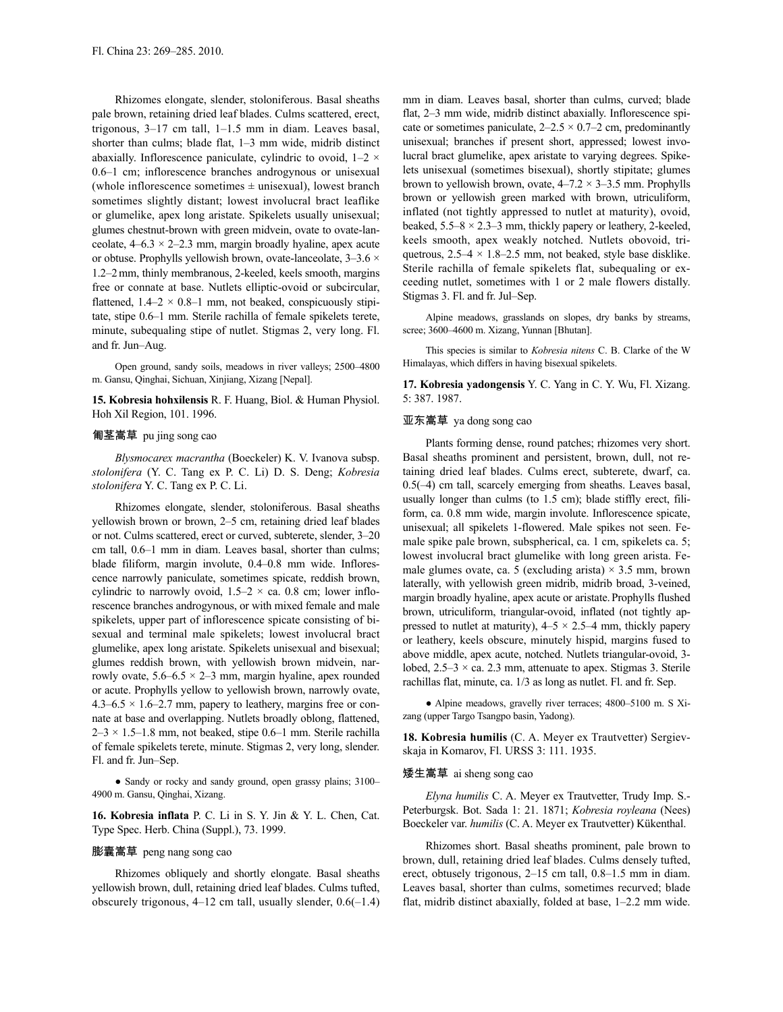Rhizomes elongate, slender, stoloniferous. Basal sheaths pale brown, retaining dried leaf blades. Culms scattered, erect, trigonous, 3–17 cm tall, 1–1.5 mm in diam. Leaves basal, shorter than culms; blade flat, 1–3 mm wide, midrib distinct abaxially. Inflorescence paniculate, cylindric to ovoid,  $1-2 \times$ 0.6–1 cm; inflorescence branches androgynous or unisexual (whole inflorescence sometimes  $\pm$  unisexual), lowest branch sometimes slightly distant; lowest involucral bract leaflike or glumelike, apex long aristate. Spikelets usually unisexual; glumes chestnut-brown with green midvein, ovate to ovate-lanceolate,  $4-6.3 \times 2-2.3$  mm, margin broadly hyaline, apex acute or obtuse. Prophylls yellowish brown, ovate-lanceolate, 3–3.6 × 1.2–2mm, thinly membranous, 2-keeled, keels smooth, margins free or connate at base. Nutlets elliptic-ovoid or subcircular, flattened,  $1.4-2 \times 0.8-1$  mm, not beaked, conspicuously stipitate, stipe 0.6–1 mm. Sterile rachilla of female spikelets terete, minute, subequaling stipe of nutlet. Stigmas 2, very long. Fl. and fr. Jun–Aug.

Open ground, sandy soils, meadows in river valleys; 2500–4800 m. Gansu, Qinghai, Sichuan, Xinjiang, Xizang [Nepal].

**15. Kobresia hohxilensis** R. F. Huang, Biol. & Human Physiol. Hoh Xil Region, 101. 1996.

## 匍茎嵩草 pu jing song cao

*Blysmocarex macrantha* (Boeckeler) K. V. Ivanova subsp. *stolonifera* (Y. C. Tang ex P. C. Li) D. S. Deng; *Kobresia stolonifera* Y. C. Tang ex P. C. Li.

Rhizomes elongate, slender, stoloniferous. Basal sheaths yellowish brown or brown, 2–5 cm, retaining dried leaf blades or not. Culms scattered, erect or curved, subterete, slender, 3–20 cm tall, 0.6–1 mm in diam. Leaves basal, shorter than culms; blade filiform, margin involute, 0.4–0.8 mm wide. Inflorescence narrowly paniculate, sometimes spicate, reddish brown, cylindric to narrowly ovoid,  $1.5-2 \times$  ca. 0.8 cm; lower inflorescence branches androgynous, or with mixed female and male spikelets, upper part of inflorescence spicate consisting of bisexual and terminal male spikelets; lowest involucral bract glumelike, apex long aristate. Spikelets unisexual and bisexual; glumes reddish brown, with yellowish brown midvein, narrowly ovate,  $5.6-6.5 \times 2-3$  mm, margin hyaline, apex rounded or acute. Prophylls yellow to yellowish brown, narrowly ovate, 4.3–6.5  $\times$  1.6–2.7 mm, papery to leathery, margins free or connate at base and overlapping. Nutlets broadly oblong, flattened,  $2-3 \times 1.5-1.8$  mm, not beaked, stipe 0.6–1 mm. Sterile rachilla of female spikelets terete, minute. Stigmas 2, very long, slender. Fl. and fr. Jun–Sep.

● Sandy or rocky and sandy ground, open grassy plains; 3100– 4900 m. Gansu, Qinghai, Xizang.

**16. Kobresia inflata** P. C. Li in S. Y. Jin & Y. L. Chen, Cat. Type Spec. Herb. China (Suppl.), 73. 1999.

# 膨囊嵩草 peng nang song cao

Rhizomes obliquely and shortly elongate. Basal sheaths yellowish brown, dull, retaining dried leaf blades. Culms tufted, obscurely trigonous,  $4-12$  cm tall, usually slender,  $0.6(-1.4)$  mm in diam. Leaves basal, shorter than culms, curved; blade flat, 2–3 mm wide, midrib distinct abaxially. Inflorescence spicate or sometimes paniculate,  $2-2.5 \times 0.7-2$  cm, predominantly unisexual; branches if present short, appressed; lowest involucral bract glumelike, apex aristate to varying degrees. Spikelets unisexual (sometimes bisexual), shortly stipitate; glumes brown to yellowish brown, ovate,  $4-7.2 \times 3-3.5$  mm. Prophylls brown or yellowish green marked with brown, utriculiform, inflated (not tightly appressed to nutlet at maturity), ovoid, beaked,  $5.5-8 \times 2.3-3$  mm, thickly papery or leathery, 2-keeled, keels smooth, apex weakly notched. Nutlets obovoid, triquetrous,  $2.5-4 \times 1.8-2.5$  mm, not beaked, style base disklike. Sterile rachilla of female spikelets flat, subequaling or exceeding nutlet, sometimes with 1 or 2 male flowers distally. Stigmas 3. Fl. and fr. Jul–Sep.

Alpine meadows, grasslands on slopes, dry banks by streams, scree; 3600–4600 m. Xizang, Yunnan [Bhutan].

This species is similar to *Kobresia nitens* C. B. Clarke of the W Himalayas, which differs in having bisexual spikelets.

**17. Kobresia yadongensis** Y. C. Yang in C. Y. Wu, Fl. Xizang. 5: 387. 1987.

# 亚东嵩草 ya dong song cao

Plants forming dense, round patches; rhizomes very short. Basal sheaths prominent and persistent, brown, dull, not retaining dried leaf blades. Culms erect, subterete, dwarf, ca. 0.5(–4) cm tall, scarcely emerging from sheaths. Leaves basal, usually longer than culms (to 1.5 cm); blade stiffly erect, filiform, ca. 0.8 mm wide, margin involute. Inflorescence spicate, unisexual; all spikelets 1-flowered. Male spikes not seen. Female spike pale brown, subspherical, ca. 1 cm, spikelets ca. 5; lowest involucral bract glumelike with long green arista. Female glumes ovate, ca. 5 (excluding arista)  $\times$  3.5 mm, brown laterally, with yellowish green midrib, midrib broad, 3-veined, margin broadly hyaline, apex acute or aristate.Prophylls flushed brown, utriculiform, triangular-ovoid, inflated (not tightly appressed to nutlet at maturity),  $4-5 \times 2.5-4$  mm, thickly papery or leathery, keels obscure, minutely hispid, margins fused to above middle, apex acute, notched. Nutlets triangular-ovoid, 3 lobed,  $2.5-3 \times$  ca. 2.3 mm, attenuate to apex. Stigmas 3. Sterile rachillas flat, minute, ca. 1/3 as long as nutlet. Fl. and fr. Sep.

● Alpine meadows, gravelly river terraces; 4800–5100 m. S Xizang (upper Targo Tsangpo basin, Yadong).

**18. Kobresia humilis** (C. A. Meyer ex Trautvetter) Sergievskaja in Komarov, Fl. URSS 3: 111. 1935.

### 矮生嵩草 ai sheng song cao

*Elyna humilis* C. A. Meyer ex Trautvetter, Trudy Imp. S.- Peterburgsk. Bot. Sada 1: 21. 1871; *Kobresia royleana* (Nees) Boeckeler var. *humilis* (C. A. Meyer ex Trautvetter) Kükenthal.

Rhizomes short. Basal sheaths prominent, pale brown to brown, dull, retaining dried leaf blades. Culms densely tufted, erect, obtusely trigonous, 2–15 cm tall, 0.8–1.5 mm in diam. Leaves basal, shorter than culms, sometimes recurved; blade flat, midrib distinct abaxially, folded at base, 1–2.2 mm wide.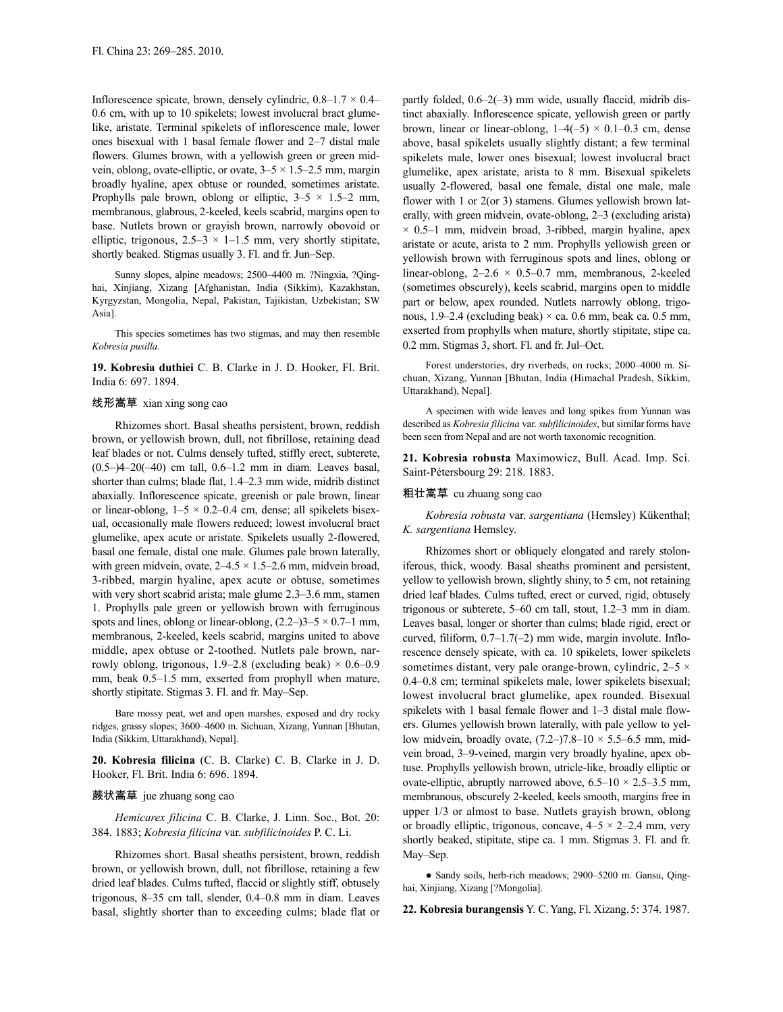Inflorescence spicate, brown, densely cylindric,  $0.8-1.7 \times 0.4-$ 0.6 cm, with up to 10 spikelets; lowest involucral bract glumelike, aristate. Terminal spikelets of inflorescence male, lower ones bisexual with 1 basal female flower and 2–7 distal male flowers. Glumes brown, with a yellowish green or green midvein, oblong, ovate-elliptic, or ovate,  $3-5 \times 1.5-2.5$  mm, margin broadly hyaline, apex obtuse or rounded, sometimes aristate. Prophylls pale brown, oblong or elliptic,  $3-5 \times 1.5-2$  mm, membranous, glabrous, 2-keeled, keels scabrid, margins open to base. Nutlets brown or grayish brown, narrowly obovoid or elliptic, trigonous,  $2.5-3 \times 1-1.5$  mm, very shortly stipitate, shortly beaked. Stigmas usually 3. Fl. and fr. Jun–Sep.

Sunny slopes, alpine meadows; 2500–4400 m. ?Ningxia, ?Qinghai, Xinjiang, Xizang [Afghanistan, India (Sikkim), Kazakhstan, Kyrgyzstan, Mongolia, Nepal, Pakistan, Tajikistan, Uzbekistan; SW Asia].

This species sometimes has two stigmas, and may then resemble *Kobresia pusilla*.

**19. Kobresia duthiei** C. B. Clarke in J. D. Hooker, Fl. Brit. India 6: 697. 1894.

#### 线形嵩草 xian xing song cao

Rhizomes short. Basal sheaths persistent, brown, reddish brown, or yellowish brown, dull, not fibrillose, retaining dead leaf blades or not. Culms densely tufted, stiffly erect, subterete, (0.5–)4–20(–40) cm tall, 0.6–1.2 mm in diam. Leaves basal, shorter than culms; blade flat, 1.4–2.3 mm wide, midrib distinct abaxially. Inflorescence spicate, greenish or pale brown, linear or linear-oblong,  $1-5 \times 0.2-0.4$  cm, dense; all spikelets bisexual, occasionally male flowers reduced; lowest involucral bract glumelike, apex acute or aristate. Spikelets usually 2-flowered, basal one female, distal one male. Glumes pale brown laterally, with green midvein, ovate,  $2-4.5 \times 1.5-2.6$  mm, midvein broad, 3-ribbed, margin hyaline, apex acute or obtuse, sometimes with very short scabrid arista; male glume 2.3–3.6 mm, stamen 1. Prophylls pale green or yellowish brown with ferruginous spots and lines, oblong or linear-oblong,  $(2.2-)3-5 \times 0.7-1$  mm, membranous, 2-keeled, keels scabrid, margins united to above middle, apex obtuse or 2-toothed. Nutlets pale brown, narrowly oblong, trigonous, 1.9–2.8 (excluding beak)  $\times$  0.6–0.9 mm, beak 0.5–1.5 mm, exserted from prophyll when mature, shortly stipitate. Stigmas 3. Fl. and fr. May–Sep.

Bare mossy peat, wet and open marshes, exposed and dry rocky ridges, grassy slopes; 3600–4600 m. Sichuan, Xizang, Yunnan [Bhutan, India (Sikkim, Uttarakhand), Nepal].

**20. Kobresia filicina** (C. B. Clarke) C. B. Clarke in J. D. Hooker, Fl. Brit. India 6: 696. 1894.

#### 蕨状嵩草 jue zhuang song cao

*Hemicarex filicina* C. B. Clarke, J. Linn. Soc., Bot. 20: 384. 1883; *Kobresia filicina* var. *subfilicinoides* P. C. Li.

Rhizomes short. Basal sheaths persistent, brown, reddish brown, or yellowish brown, dull, not fibrillose, retaining a few dried leaf blades. Culms tufted, flaccid or slightly stiff, obtusely trigonous, 8–35 cm tall, slender, 0.4–0.8 mm in diam. Leaves basal, slightly shorter than to exceeding culms; blade flat or partly folded,  $0.6-2(-3)$  mm wide, usually flaccid, midrib distinct abaxially. Inflorescence spicate, yellowish green or partly brown, linear or linear-oblong,  $1-4(-5) \times 0.1-0.3$  cm, dense above, basal spikelets usually slightly distant; a few terminal spikelets male, lower ones bisexual; lowest involucral bract glumelike, apex aristate, arista to 8 mm. Bisexual spikelets usually 2-flowered, basal one female, distal one male, male flower with 1 or 2(or 3) stamens. Glumes yellowish brown laterally, with green midvein, ovate-oblong, 2–3 (excluding arista)  $\times$  0.5–1 mm, midvein broad, 3-ribbed, margin hyaline, apex aristate or acute, arista to 2 mm. Prophylls yellowish green or yellowish brown with ferruginous spots and lines, oblong or linear-oblong,  $2-2.6 \times 0.5-0.7$  mm, membranous, 2-keeled (sometimes obscurely), keels scabrid, margins open to middle part or below, apex rounded. Nutlets narrowly oblong, trigonous,  $1.9-2.4$  (excluding beak)  $\times$  ca. 0.6 mm, beak ca. 0.5 mm, exserted from prophylls when mature, shortly stipitate, stipe ca. 0.2 mm. Stigmas 3, short. Fl. and fr. Jul–Oct.

Forest understories, dry riverbeds, on rocks; 2000–4000 m. Sichuan, Xizang, Yunnan [Bhutan, India (Himachal Pradesh, Sikkim, Uttarakhand), Nepal].

A specimen with wide leaves and long spikes from Yunnan was described as *Kobresia filicina* var. *subfilicinoides*, but similar forms have been seen from Nepal and are not worth taxonomic recognition.

**21. Kobresia robusta** Maximowicz, Bull. Acad. Imp. Sci. Saint-Pétersbourg 29: 218. 1883.

#### 粗壮嵩草 cu zhuang song cao

*Kobresia robusta* var. *sargentiana* (Hemsley) Kükenthal; *K. sargentiana* Hemsley.

Rhizomes short or obliquely elongated and rarely stoloniferous, thick, woody. Basal sheaths prominent and persistent, yellow to yellowish brown, slightly shiny, to 5 cm, not retaining dried leaf blades. Culms tufted, erect or curved, rigid, obtusely trigonous or subterete, 5–60 cm tall, stout, 1.2–3 mm in diam. Leaves basal, longer or shorter than culms; blade rigid, erect or curved, filiform, 0.7–1.7(–2) mm wide, margin involute. Inflorescence densely spicate, with ca. 10 spikelets, lower spikelets sometimes distant, very pale orange-brown, cylindric, 2–5  $\times$ 0.4–0.8 cm; terminal spikelets male, lower spikelets bisexual; lowest involucral bract glumelike, apex rounded. Bisexual spikelets with 1 basal female flower and 1–3 distal male flowers. Glumes yellowish brown laterally, with pale yellow to yellow midvein, broadly ovate,  $(7.2-)7.8-10 \times 5.5-6.5$  mm, midvein broad, 3–9-veined, margin very broadly hyaline, apex obtuse. Prophylls yellowish brown, utricle-like, broadly elliptic or ovate-elliptic, abruptly narrowed above,  $6.5-10 \times 2.5-3.5$  mm, membranous, obscurely 2-keeled, keels smooth, margins free in upper 1/3 or almost to base. Nutlets grayish brown, oblong or broadly elliptic, trigonous, concave,  $4-5 \times 2-2.4$  mm, very shortly beaked, stipitate, stipe ca. 1 mm. Stigmas 3. Fl. and fr. May–Sep.

● Sandy soils, herb-rich meadows; 2900–5200 m. Gansu, Qinghai, Xinjiang, Xizang [?Mongolia].

**22. Kobresia burangensis** Y. C.Yang, Fl. Xizang. 5: 374. 1987.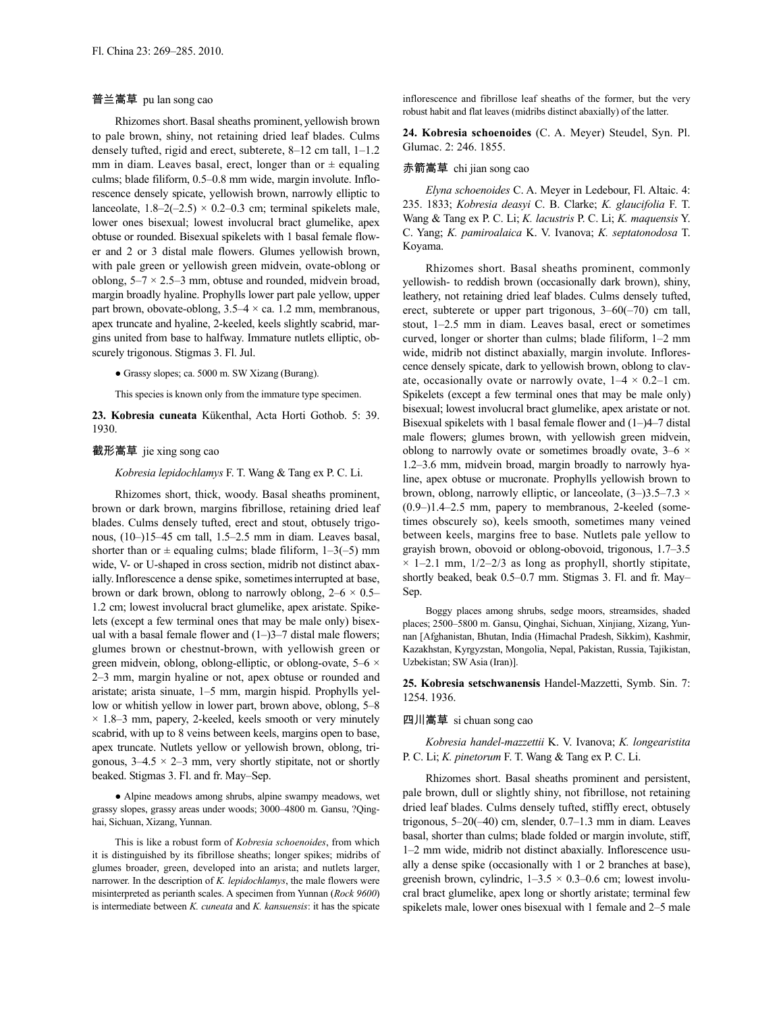# 普兰嵩草 pu lan song cao

Rhizomes short.Basal sheaths prominent, yellowish brown to pale brown, shiny, not retaining dried leaf blades. Culms densely tufted, rigid and erect, subterete, 8–12 cm tall, 1–1.2 mm in diam. Leaves basal, erect, longer than or  $\pm$  equaling culms; blade filiform, 0.5–0.8 mm wide, margin involute. Inflorescence densely spicate, yellowish brown, narrowly elliptic to lanceolate,  $1.8-2(-2.5) \times 0.2-0.3$  cm; terminal spikelets male, lower ones bisexual; lowest involucral bract glumelike, apex obtuse or rounded. Bisexual spikelets with 1 basal female flower and 2 or 3 distal male flowers. Glumes yellowish brown, with pale green or yellowish green midvein, ovate-oblong or oblong,  $5-7 \times 2.5-3$  mm, obtuse and rounded, midvein broad, margin broadly hyaline. Prophylls lower part pale yellow, upper part brown, obovate-oblong,  $3.5-4 \times$  ca. 1.2 mm, membranous, apex truncate and hyaline, 2-keeled, keels slightly scabrid, margins united from base to halfway. Immature nutlets elliptic, obscurely trigonous. Stigmas 3. Fl. Jul.

● Grassy slopes; ca. 5000 m. SW Xizang (Burang).

This species is known only from the immature type specimen.

**23. Kobresia cuneata** Kükenthal, Acta Horti Gothob. 5: 39. 1930.

#### 截形嵩草 jie xing song cao

*Kobresia lepidochlamys* F. T. Wang & Tang ex P. C. Li.

Rhizomes short, thick, woody. Basal sheaths prominent, brown or dark brown, margins fibrillose, retaining dried leaf blades. Culms densely tufted, erect and stout, obtusely trigonous, (10–)15–45 cm tall, 1.5–2.5 mm in diam. Leaves basal, shorter than or  $\pm$  equaling culms; blade filiform, 1–3(–5) mm wide, V- or U-shaped in cross section, midrib not distinct abaxially. Inflorescence a dense spike, sometimes interrupted at base, brown or dark brown, oblong to narrowly oblong,  $2-6 \times 0.5-$ 1.2 cm; lowest involucral bract glumelike, apex aristate. Spikelets (except a few terminal ones that may be male only) bisexual with a basal female flower and  $(1-)3-7$  distal male flowers; glumes brown or chestnut-brown, with yellowish green or green midvein, oblong, oblong-elliptic, or oblong-ovate, 5–6 × 2–3 mm, margin hyaline or not, apex obtuse or rounded and aristate; arista sinuate, 1–5 mm, margin hispid. Prophylls yellow or whitish yellow in lower part, brown above, oblong, 5–8  $\times$  1.8–3 mm, papery, 2-keeled, keels smooth or very minutely scabrid, with up to 8 veins between keels, margins open to base, apex truncate. Nutlets yellow or yellowish brown, oblong, trigonous,  $3-4.5 \times 2-3$  mm, very shortly stipitate, not or shortly beaked. Stigmas 3. Fl. and fr. May–Sep.

● Alpine meadows among shrubs, alpine swampy meadows, wet grassy slopes, grassy areas under woods; 3000–4800 m. Gansu, ?Qinghai, Sichuan, Xizang, Yunnan.

This is like a robust form of *Kobresia schoenoides*, from which it is distinguished by its fibrillose sheaths; longer spikes; midribs of glumes broader, green, developed into an arista; and nutlets larger, narrower. In the description of *K. lepidochlamys*, the male flowers were misinterpreted as perianth scales. A specimen from Yunnan (*Rock 9600*) is intermediate between *K. cuneata* and *K. kansuensis*: it has the spicate inflorescence and fibrillose leaf sheaths of the former, but the very robust habit and flat leaves (midribs distinct abaxially) of the latter.

**24. Kobresia schoenoides** (C. A. Meyer) Steudel, Syn. Pl. Glumac. 2: 246. 1855.

### 赤箭嵩草 chi jian song cao

*Elyna schoenoides* C. A. Meyer in Ledebour, Fl. Altaic. 4: 235. 1833; *Kobresia deasyi* C. B. Clarke; *K. glaucifolia* F. T. Wang & Tang ex P. C. Li; *K. lacustris* P. C. Li; *K. maquensis* Y. C. Yang; *K. pamiroalaica* K. V. Ivanova; *K. septatonodosa* T. Koyama.

Rhizomes short. Basal sheaths prominent, commonly yellowish- to reddish brown (occasionally dark brown), shiny, leathery, not retaining dried leaf blades. Culms densely tufted, erect, subterete or upper part trigonous, 3–60(–70) cm tall, stout, 1–2.5 mm in diam. Leaves basal, erect or sometimes curved, longer or shorter than culms; blade filiform, 1–2 mm wide, midrib not distinct abaxially, margin involute. Inflorescence densely spicate, dark to yellowish brown, oblong to clavate, occasionally ovate or narrowly ovate,  $1-4 \times 0.2-1$  cm. Spikelets (except a few terminal ones that may be male only) bisexual; lowest involucral bract glumelike, apex aristate or not. Bisexual spikelets with 1 basal female flower and (1–)4–7 distal male flowers; glumes brown, with yellowish green midvein, oblong to narrowly ovate or sometimes broadly ovate,  $3-6 \times$ 1.2–3.6 mm, midvein broad, margin broadly to narrowly hyaline, apex obtuse or mucronate. Prophylls yellowish brown to brown, oblong, narrowly elliptic, or lanceolate,  $(3-)3.5-7.3 \times$ (0.9–)1.4–2.5 mm, papery to membranous, 2-keeled (sometimes obscurely so), keels smooth, sometimes many veined between keels, margins free to base. Nutlets pale yellow to grayish brown, obovoid or oblong-obovoid, trigonous, 1.7–3.5  $\times$  1–2.1 mm, 1/2–2/3 as long as prophyll, shortly stipitate, shortly beaked, beak 0.5–0.7 mm. Stigmas 3. Fl. and fr. May– Sep.

Boggy places among shrubs, sedge moors, streamsides, shaded places; 2500–5800 m. Gansu, Qinghai, Sichuan, Xinjiang, Xizang, Yunnan [Afghanistan, Bhutan, India (Himachal Pradesh, Sikkim), Kashmir, Kazakhstan, Kyrgyzstan, Mongolia, Nepal, Pakistan, Russia, Tajikistan, Uzbekistan; SW Asia (Iran)].

**25. Kobresia setschwanensis** Handel-Mazzetti, Symb. Sin. 7: 1254. 1936.

# 四川嵩草 si chuan song cao

*Kobresia handel-mazzettii* K. V. Ivanova; *K. longearistita* P. C. Li; *K. pinetorum* F. T. Wang & Tang ex P. C. Li.

Rhizomes short. Basal sheaths prominent and persistent, pale brown, dull or slightly shiny, not fibrillose, not retaining dried leaf blades. Culms densely tufted, stiffly erect, obtusely trigonous, 5–20(–40) cm, slender, 0.7–1.3 mm in diam. Leaves basal, shorter than culms; blade folded or margin involute, stiff, 1–2 mm wide, midrib not distinct abaxially. Inflorescence usually a dense spike (occasionally with 1 or 2 branches at base), greenish brown, cylindric,  $1-3.5 \times 0.3-0.6$  cm; lowest involucral bract glumelike, apex long or shortly aristate; terminal few spikelets male, lower ones bisexual with 1 female and 2–5 male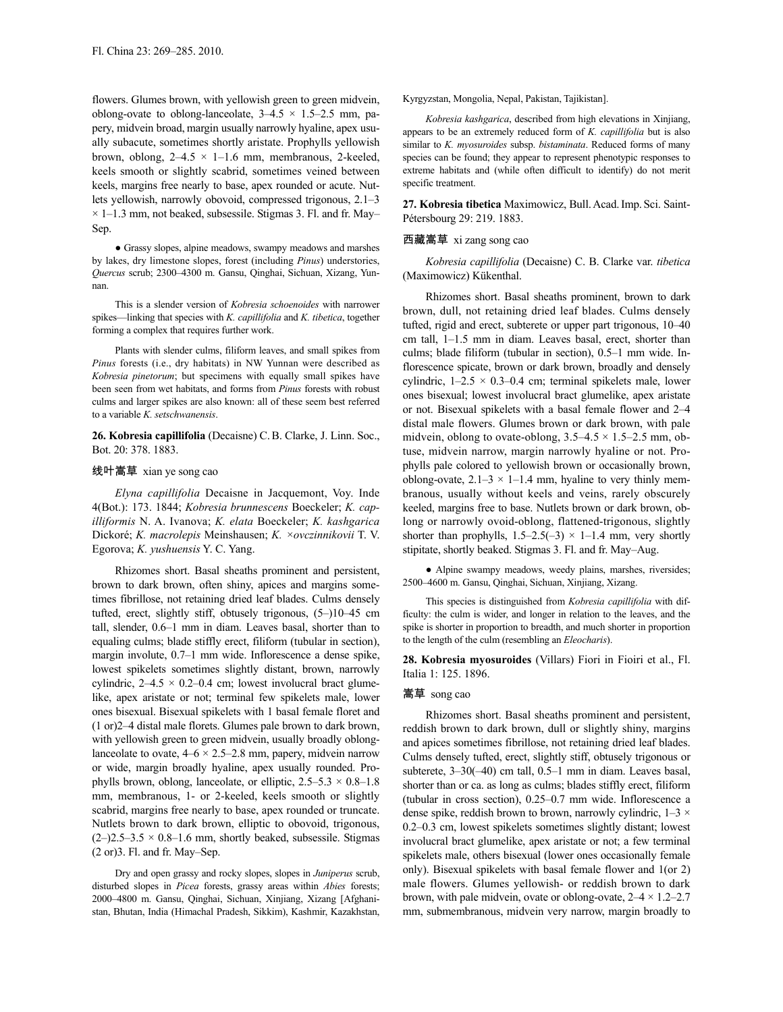flowers. Glumes brown, with yellowish green to green midvein, oblong-ovate to oblong-lanceolate,  $3-4.5 \times 1.5-2.5$  mm, papery, midvein broad, margin usually narrowly hyaline, apex usually subacute, sometimes shortly aristate. Prophylls yellowish brown, oblong,  $2-4.5 \times 1-1.6$  mm, membranous, 2-keeled, keels smooth or slightly scabrid, sometimes veined between keels, margins free nearly to base, apex rounded or acute. Nutlets yellowish, narrowly obovoid, compressed trigonous, 2.1–3  $\times$  1–1.3 mm, not beaked, subsessile. Stigmas 3. Fl. and fr. May– Sep.

● Grassy slopes, alpine meadows, swampy meadows and marshes by lakes, dry limestone slopes, forest (including *Pinus*) understories, *Quercus* scrub; 2300–4300 m. Gansu, Qinghai, Sichuan, Xizang, Yunnan.

This is a slender version of *Kobresia schoenoides* with narrower spikes—linking that species with *K. capillifolia* and *K. tibetica*, together forming a complex that requires further work.

Plants with slender culms, filiform leaves, and small spikes from *Pinus* forests (i.e., dry habitats) in NW Yunnan were described as *Kobresia pinetorum*; but specimens with equally small spikes have been seen from wet habitats, and forms from *Pinus* forests with robust culms and larger spikes are also known: all of these seem best referred to a variable *K. setschwanensis*.

**26. Kobresia capillifolia** (Decaisne) C.B. Clarke, J. Linn. Soc., Bot. 20: 378. 1883.

### 线叶嵩草 xian ye song cao

*Elyna capillifolia* Decaisne in Jacquemont, Voy. Inde 4(Bot.): 173. 1844; *Kobresia brunnescens* Boeckeler; *K. capilliformis* N. A. Ivanova; *K. elata* Boeckeler; *K. kashgarica* Dickoré; *K. macrolepis* Meinshausen; *K. ×ovczinnikovii* T. V. Egorova; *K. yushuensis* Y. C. Yang.

Rhizomes short. Basal sheaths prominent and persistent, brown to dark brown, often shiny, apices and margins sometimes fibrillose, not retaining dried leaf blades. Culms densely tufted, erect, slightly stiff, obtusely trigonous, (5–)10–45 cm tall, slender, 0.6–1 mm in diam. Leaves basal, shorter than to equaling culms; blade stiffly erect, filiform (tubular in section), margin involute, 0.7–1 mm wide. Inflorescence a dense spike, lowest spikelets sometimes slightly distant, brown, narrowly cylindric,  $2-4.5 \times 0.2-0.4$  cm; lowest involucral bract glumelike, apex aristate or not; terminal few spikelets male, lower ones bisexual. Bisexual spikelets with 1 basal female floret and (1 or)2–4 distal male florets. Glumes pale brown to dark brown, with yellowish green to green midvein, usually broadly oblonglanceolate to ovate,  $4-6 \times 2.5-2.8$  mm, papery, midvein narrow or wide, margin broadly hyaline, apex usually rounded. Prophylls brown, oblong, lanceolate, or elliptic,  $2.5-5.3 \times 0.8-1.8$ mm, membranous, 1- or 2-keeled, keels smooth or slightly scabrid, margins free nearly to base, apex rounded or truncate. Nutlets brown to dark brown, elliptic to obovoid, trigonous,  $(2-)2.5-3.5 \times 0.8-1.6$  mm, shortly beaked, subsessile. Stigmas (2 or)3. Fl. and fr. May–Sep.

Dry and open grassy and rocky slopes, slopes in *Juniperus* scrub, disturbed slopes in *Picea* forests, grassy areas within *Abies* forests; 2000–4800 m. Gansu, Qinghai, Sichuan, Xinjiang, Xizang [Afghanistan, Bhutan, India (Himachal Pradesh, Sikkim), Kashmir, Kazakhstan, Kyrgyzstan, Mongolia, Nepal, Pakistan, Tajikistan].

*Kobresia kashgarica*, described from high elevations in Xinjiang, appears to be an extremely reduced form of *K. capillifolia* but is also similar to *K. myosuroides* subsp. *bistaminata*. Reduced forms of many species can be found; they appear to represent phenotypic responses to extreme habitats and (while often difficult to identify) do not merit specific treatment.

**27. Kobresia tibetica** Maximowicz, Bull.Acad.Imp. Sci. Saint-Pétersbourg 29: 219. 1883.

# 西藏嵩草 xi zang song cao

*Kobresia capillifolia* (Decaisne) C. B. Clarke var. *tibetica* (Maximowicz) Kükenthal.

Rhizomes short. Basal sheaths prominent, brown to dark brown, dull, not retaining dried leaf blades. Culms densely tufted, rigid and erect, subterete or upper part trigonous, 10–40 cm tall, 1–1.5 mm in diam. Leaves basal, erect, shorter than culms; blade filiform (tubular in section), 0.5–1 mm wide. Inflorescence spicate, brown or dark brown, broadly and densely cylindric,  $1-2.5 \times 0.3-0.4$  cm; terminal spikelets male, lower ones bisexual; lowest involucral bract glumelike, apex aristate or not. Bisexual spikelets with a basal female flower and 2–4 distal male flowers. Glumes brown or dark brown, with pale midvein, oblong to ovate-oblong,  $3.5-4.5 \times 1.5-2.5$  mm, obtuse, midvein narrow, margin narrowly hyaline or not. Prophylls pale colored to yellowish brown or occasionally brown, oblong-ovate,  $2.1-3 \times 1-1.4$  mm, hyaline to very thinly membranous, usually without keels and veins, rarely obscurely keeled, margins free to base. Nutlets brown or dark brown, oblong or narrowly ovoid-oblong, flattened-trigonous, slightly shorter than prophylls,  $1.5-2.5(-3) \times 1-1.4$  mm, very shortly stipitate, shortly beaked. Stigmas 3. Fl. and fr. May–Aug.

● Alpine swampy meadows, weedy plains, marshes, riversides; 2500–4600 m. Gansu, Qinghai, Sichuan, Xinjiang, Xizang.

This species is distinguished from *Kobresia capillifolia* with difficulty: the culm is wider, and longer in relation to the leaves, and the spike is shorter in proportion to breadth, and much shorter in proportion to the length of the culm (resembling an *Eleocharis*).

**28. Kobresia myosuroides** (Villars) Fiori in Fioiri et al., Fl. Italia 1: 125. 1896.

# 嵩草 song cao

Rhizomes short. Basal sheaths prominent and persistent, reddish brown to dark brown, dull or slightly shiny, margins and apices sometimes fibrillose, not retaining dried leaf blades. Culms densely tufted, erect, slightly stiff, obtusely trigonous or subterete, 3–30(–40) cm tall, 0.5–1 mm in diam. Leaves basal, shorter than or ca. as long as culms; blades stiffly erect, filiform (tubular in cross section), 0.25–0.7 mm wide. Inflorescence a dense spike, reddish brown to brown, narrowly cylindric,  $1-3 \times$ 0.2–0.3 cm, lowest spikelets sometimes slightly distant; lowest involucral bract glumelike, apex aristate or not; a few terminal spikelets male, others bisexual (lower ones occasionally female only). Bisexual spikelets with basal female flower and 1(or 2) male flowers. Glumes yellowish- or reddish brown to dark brown, with pale midvein, ovate or oblong-ovate,  $2-4 \times 1.2-2.7$ mm, submembranous, midvein very narrow, margin broadly to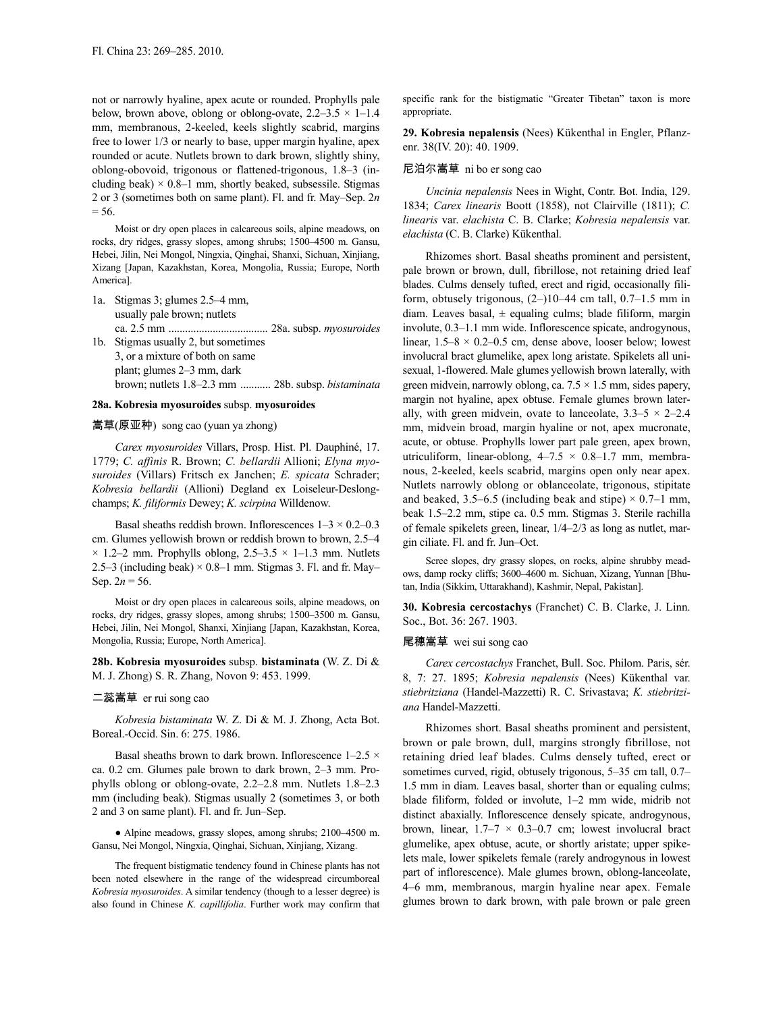not or narrowly hyaline, apex acute or rounded. Prophylls pale below, brown above, oblong or oblong-ovate,  $2.2-3.5 \times 1-1.4$ mm, membranous, 2-keeled, keels slightly scabrid, margins free to lower 1/3 or nearly to base, upper margin hyaline, apex rounded or acute. Nutlets brown to dark brown, slightly shiny, oblong-obovoid, trigonous or flattened-trigonous, 1.8–3 (including beak)  $\times$  0.8–1 mm, shortly beaked, subsessile. Stigmas 2 or 3 (sometimes both on same plant). Fl. and fr. May–Sep. 2*n*  $= 56.$ 

Moist or dry open places in calcareous soils, alpine meadows, on rocks, dry ridges, grassy slopes, among shrubs; 1500–4500 m. Gansu, Hebei, Jilin, Nei Mongol, Ningxia, Qinghai, Shanxi, Sichuan, Xinjiang, Xizang [Japan, Kazakhstan, Korea, Mongolia, Russia; Europe, North America].

- 1a. Stigmas 3; glumes 2.5–4 mm, usually pale brown; nutlets ca. 2.5 mm .................................... 28a. subsp. *myosuroides* 1b. Stigmas usually 2, but sometimes
- 3, or a mixture of both on same plant; glumes 2–3 mm, dark brown; nutlets 1.8–2.3 mm ........... 28b. subsp. *bistaminata*

### **28a. Kobresia myosuroides** subsp. **myosuroides**

#### 嵩草(原亚种) song cao (yuan ya zhong)

*Carex myosuroides* Villars, Prosp. Hist. Pl. Dauphiné, 17. 1779; *C. affinis* R. Brown; *C. bellardii* Allioni; *Elyna myosuroides* (Villars) Fritsch ex Janchen; *E. spicata* Schrader; *Kobresia bellardii* (Allioni) Degland ex Loiseleur-Deslongchamps; *K. filiformis* Dewey; *K. scirpina* Willdenow.

Basal sheaths reddish brown. Inflorescences  $1-3 \times 0.2-0.3$ cm. Glumes yellowish brown or reddish brown to brown, 2.5–4  $\times$  1.2–2 mm. Prophylls oblong, 2.5–3.5  $\times$  1–1.3 mm. Nutlets 2.5–3 (including beak)  $\times$  0.8–1 mm. Stigmas 3. Fl. and fr. May– Sep.  $2n = 56$ .

Moist or dry open places in calcareous soils, alpine meadows, on rocks, dry ridges, grassy slopes, among shrubs; 1500–3500 m. Gansu, Hebei, Jilin, Nei Mongol, Shanxi, Xinjiang [Japan, Kazakhstan, Korea, Mongolia, Russia; Europe, North America].

# **28b. Kobresia myosuroides** subsp. **bistaminata** (W. Z. Di & M. J. Zhong) S. R. Zhang, Novon 9: 453. 1999.

#### 二蕊嵩草 er rui song cao

*Kobresia bistaminata* W. Z. Di & M. J. Zhong, Acta Bot. Boreal.-Occid. Sin. 6: 275. 1986.

Basal sheaths brown to dark brown. Inflorescence  $1-2.5 \times$ ca. 0.2 cm. Glumes pale brown to dark brown, 2–3 mm. Prophylls oblong or oblong-ovate, 2.2–2.8 mm. Nutlets 1.8–2.3 mm (including beak). Stigmas usually 2 (sometimes 3, or both 2 and 3 on same plant). Fl. and fr. Jun–Sep.

● Alpine meadows, grassy slopes, among shrubs; 2100–4500 m. Gansu, Nei Mongol, Ningxia, Qinghai, Sichuan, Xinjiang, Xizang.

The frequent bistigmatic tendency found in Chinese plants has not been noted elsewhere in the range of the widespread circumboreal *Kobresia myosuroides*. A similar tendency (though to a lesser degree) is also found in Chinese *K. capillifolia*. Further work may confirm that specific rank for the bistigmatic "Greater Tibetan" taxon is more appropriate.

**29. Kobresia nepalensis** (Nees) Kükenthal in Engler, Pflanzenr. 38(IV. 20): 40. 1909.

### 尼泊尔嵩草 ni bo er song cao

*Uncinia nepalensis* Nees in Wight, Contr. Bot. India, 129. 1834; *Carex linearis* Boott (1858), not Clairville (1811); *C. linearis* var. *elachista* C. B. Clarke; *Kobresia nepalensis* var. *elachista* (C. B. Clarke) Kükenthal.

Rhizomes short. Basal sheaths prominent and persistent, pale brown or brown, dull, fibrillose, not retaining dried leaf blades. Culms densely tufted, erect and rigid, occasionally filiform, obtusely trigonous,  $(2-)10-44$  cm tall,  $0.7-1.5$  mm in diam. Leaves basal,  $\pm$  equaling culms; blade filiform, margin involute, 0.3–1.1 mm wide. Inflorescence spicate, androgynous, linear,  $1.5-8 \times 0.2-0.5$  cm, dense above, looser below; lowest involucral bract glumelike, apex long aristate. Spikelets all unisexual, 1-flowered. Male glumes yellowish brown laterally, with green midvein, narrowly oblong, ca.  $7.5 \times 1.5$  mm, sides papery, margin not hyaline, apex obtuse. Female glumes brown laterally, with green midvein, ovate to lanceolate,  $3.3-5 \times 2-2.4$ mm, midvein broad, margin hyaline or not, apex mucronate, acute, or obtuse. Prophylls lower part pale green, apex brown, utriculiform, linear-oblong,  $4-7.5 \times 0.8-1.7$  mm, membranous, 2-keeled, keels scabrid, margins open only near apex. Nutlets narrowly oblong or oblanceolate, trigonous, stipitate and beaked, 3.5–6.5 (including beak and stipe)  $\times$  0.7–1 mm, beak 1.5–2.2 mm, stipe ca. 0.5 mm. Stigmas 3. Sterile rachilla of female spikelets green, linear, 1/4–2/3 as long as nutlet, margin ciliate. Fl. and fr. Jun–Oct.

Scree slopes, dry grassy slopes, on rocks, alpine shrubby meadows, damp rocky cliffs; 3600–4600 m. Sichuan, Xizang, Yunnan [Bhutan, India (Sikkim, Uttarakhand), Kashmir, Nepal, Pakistan].

**30. Kobresia cercostachys** (Franchet) C. B. Clarke, J. Linn. Soc., Bot. 36: 267. 1903.

#### 尾穗嵩草 wei sui song cao

*Carex cercostachys* Franchet, Bull. Soc. Philom. Paris, sér. 8, 7: 27. 1895; *Kobresia nepalensis* (Nees) Kükenthal var. *stiebritziana* (Handel-Mazzetti) R. C. Srivastava; *K. stiebritziana* Handel-Mazzetti.

Rhizomes short. Basal sheaths prominent and persistent, brown or pale brown, dull, margins strongly fibrillose, not retaining dried leaf blades. Culms densely tufted, erect or sometimes curved, rigid, obtusely trigonous, 5–35 cm tall, 0.7– 1.5 mm in diam. Leaves basal, shorter than or equaling culms; blade filiform, folded or involute, 1–2 mm wide, midrib not distinct abaxially. Inflorescence densely spicate, androgynous, brown, linear,  $1.7-7 \times 0.3-0.7$  cm; lowest involucral bract glumelike, apex obtuse, acute, or shortly aristate; upper spikelets male, lower spikelets female (rarely androgynous in lowest part of inflorescence). Male glumes brown, oblong-lanceolate, 4–6 mm, membranous, margin hyaline near apex. Female glumes brown to dark brown, with pale brown or pale green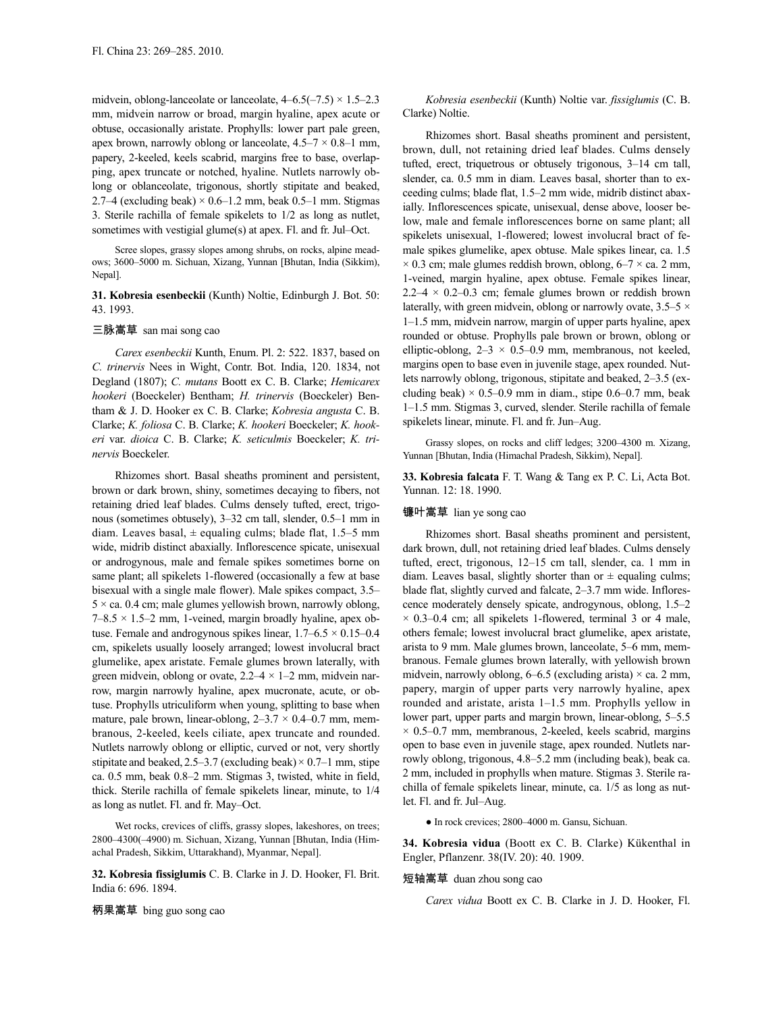midvein, oblong-lanceolate or lanceolate,  $4-6.5(-7.5) \times 1.5-2.3$ mm, midvein narrow or broad, margin hyaline, apex acute or obtuse, occasionally aristate. Prophylls: lower part pale green, apex brown, narrowly oblong or lanceolate,  $4.5-7 \times 0.8-1$  mm, papery, 2-keeled, keels scabrid, margins free to base, overlapping, apex truncate or notched, hyaline. Nutlets narrowly oblong or oblanceolate, trigonous, shortly stipitate and beaked, 2.7–4 (excluding beak)  $\times$  0.6–1.2 mm, beak 0.5–1 mm. Stigmas 3. Sterile rachilla of female spikelets to 1/2 as long as nutlet, sometimes with vestigial glume(s) at apex. Fl. and fr. Jul–Oct.

Scree slopes, grassy slopes among shrubs, on rocks, alpine meadows; 3600–5000 m. Sichuan, Xizang, Yunnan [Bhutan, India (Sikkim), Nepal].

# **31. Kobresia esenbeckii** (Kunth) Noltie, Edinburgh J. Bot. 50: 43. 1993.

### 三脉嵩草 san mai song cao

*Carex esenbeckii* Kunth, Enum. Pl. 2: 522. 1837, based on *C. trinervis* Nees in Wight, Contr. Bot. India, 120. 1834, not Degland (1807); *C. mutans* Boott ex C. B. Clarke; *Hemicarex hookeri* (Boeckeler) Bentham; *H. trinervis* (Boeckeler) Bentham & J. D. Hooker ex C. B. Clarke; *Kobresia angusta* C. B. Clarke; *K. foliosa* C. B. Clarke; *K. hookeri* Boeckeler; *K. hookeri* var. *dioica* C. B. Clarke; *K. seticulmis* Boeckeler; *K. trinervis* Boeckeler.

Rhizomes short. Basal sheaths prominent and persistent, brown or dark brown, shiny, sometimes decaying to fibers, not retaining dried leaf blades. Culms densely tufted, erect, trigonous (sometimes obtusely), 3–32 cm tall, slender, 0.5–1 mm in diam. Leaves basal,  $\pm$  equaling culms; blade flat, 1.5–5 mm wide, midrib distinct abaxially. Inflorescence spicate, unisexual or androgynous, male and female spikes sometimes borne on same plant; all spikelets 1-flowered (occasionally a few at base bisexual with a single male flower). Male spikes compact, 3.5–  $5 \times$  ca. 0.4 cm; male glumes yellowish brown, narrowly oblong,  $7-8.5 \times 1.5-2$  mm, 1-veined, margin broadly hyaline, apex obtuse. Female and androgynous spikes linear,  $1.7-6.5 \times 0.15-0.4$ cm, spikelets usually loosely arranged; lowest involucral bract glumelike, apex aristate. Female glumes brown laterally, with green midvein, oblong or ovate,  $2.2-4 \times 1-2$  mm, midvein narrow, margin narrowly hyaline, apex mucronate, acute, or obtuse. Prophylls utriculiform when young, splitting to base when mature, pale brown, linear-oblong,  $2-3.7 \times 0.4-0.7$  mm, membranous, 2-keeled, keels ciliate, apex truncate and rounded. Nutlets narrowly oblong or elliptic, curved or not, very shortly stipitate and beaked,  $2.5-3.7$  (excluding beak)  $\times$  0.7–1 mm, stipe ca. 0.5 mm, beak 0.8–2 mm. Stigmas 3, twisted, white in field, thick. Sterile rachilla of female spikelets linear, minute, to 1/4 as long as nutlet. Fl. and fr. May–Oct.

Wet rocks, crevices of cliffs, grassy slopes, lakeshores, on trees; 2800–4300(–4900) m. Sichuan, Xizang, Yunnan [Bhutan, India (Himachal Pradesh, Sikkim, Uttarakhand), Myanmar, Nepal].

**32. Kobresia fissiglumis** C. B. Clarke in J. D. Hooker, Fl. Brit. India 6: 696. 1894.

*Kobresia esenbeckii* (Kunth) Noltie var. *fissiglumis* (C. B. Clarke) Noltie.

Rhizomes short. Basal sheaths prominent and persistent, brown, dull, not retaining dried leaf blades. Culms densely tufted, erect, triquetrous or obtusely trigonous, 3–14 cm tall, slender, ca. 0.5 mm in diam. Leaves basal, shorter than to exceeding culms; blade flat, 1.5–2 mm wide, midrib distinct abaxially. Inflorescences spicate, unisexual, dense above, looser below, male and female inflorescences borne on same plant; all spikelets unisexual, 1-flowered; lowest involucral bract of female spikes glumelike, apex obtuse. Male spikes linear, ca. 1.5  $\times$  0.3 cm; male glumes reddish brown, oblong, 6–7  $\times$  ca. 2 mm, 1-veined, margin hyaline, apex obtuse. Female spikes linear,  $2.2-4 \times 0.2-0.3$  cm; female glumes brown or reddish brown laterally, with green midvein, oblong or narrowly ovate,  $3.5-5 \times$ 1–1.5 mm, midvein narrow, margin of upper parts hyaline, apex rounded or obtuse. Prophylls pale brown or brown, oblong or elliptic-oblong,  $2-3 \times 0.5-0.9$  mm, membranous, not keeled, margins open to base even in juvenile stage, apex rounded. Nutlets narrowly oblong, trigonous, stipitate and beaked, 2–3.5 (excluding beak)  $\times$  0.5–0.9 mm in diam., stipe 0.6–0.7 mm, beak 1–1.5 mm. Stigmas 3, curved, slender. Sterile rachilla of female spikelets linear, minute. Fl. and fr. Jun–Aug.

Grassy slopes, on rocks and cliff ledges; 3200–4300 m. Xizang, Yunnan [Bhutan, India (Himachal Pradesh, Sikkim), Nepal].

**33. Kobresia falcata** F. T. Wang & Tang ex P. C. Li, Acta Bot. Yunnan. 12: 18. 1990.

### 镰叶嵩草 lian ye song cao

Rhizomes short. Basal sheaths prominent and persistent, dark brown, dull, not retaining dried leaf blades. Culms densely tufted, erect, trigonous, 12–15 cm tall, slender, ca. 1 mm in diam. Leaves basal, slightly shorter than or  $\pm$  equaling culms; blade flat, slightly curved and falcate, 2–3.7 mm wide. Inflorescence moderately densely spicate, androgynous, oblong, 1.5–2  $\times$  0.3–0.4 cm; all spikelets 1-flowered, terminal 3 or 4 male, others female; lowest involucral bract glumelike, apex aristate, arista to 9 mm. Male glumes brown, lanceolate, 5–6 mm, membranous. Female glumes brown laterally, with yellowish brown midvein, narrowly oblong,  $6-6.5$  (excluding arista)  $\times$  ca. 2 mm, papery, margin of upper parts very narrowly hyaline, apex rounded and aristate, arista 1–1.5 mm. Prophylls yellow in lower part, upper parts and margin brown, linear-oblong, 5–5.5  $\times$  0.5–0.7 mm, membranous, 2-keeled, keels scabrid, margins open to base even in juvenile stage, apex rounded. Nutlets narrowly oblong, trigonous, 4.8–5.2 mm (including beak), beak ca. 2 mm, included in prophylls when mature. Stigmas 3. Sterile rachilla of female spikelets linear, minute, ca. 1/5 as long as nutlet. Fl. and fr. Jul–Aug.

● In rock crevices; 2800–4000 m. Gansu, Sichuan.

**34. Kobresia vidua** (Boott ex C. B. Clarke) Kükenthal in Engler, Pflanzenr. 38(IV. 20): 40. 1909.

## 短轴嵩草 duan zhou song cao

*Carex vidua* Boott ex C. B. Clarke in J. D. Hooker, Fl.

柄果嵩草 bing guo song cao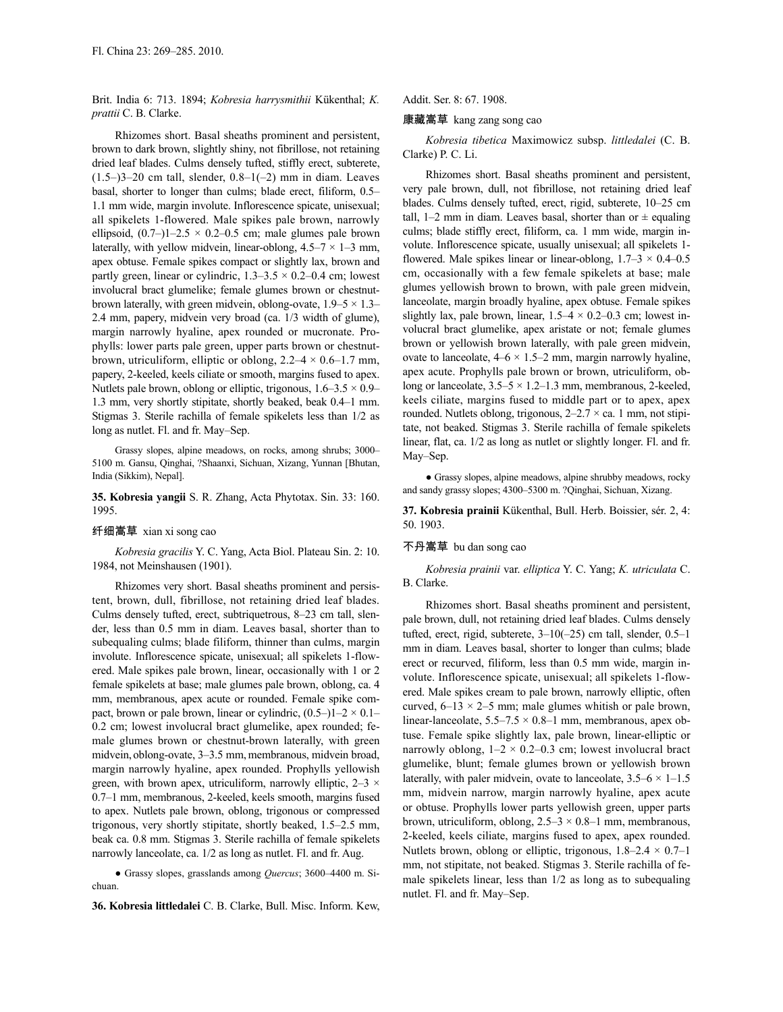Brit. India 6: 713. 1894; *Kobresia harrysmithii* Kükenthal; *K. prattii* C. B. Clarke.

Rhizomes short. Basal sheaths prominent and persistent, brown to dark brown, slightly shiny, not fibrillose, not retaining dried leaf blades. Culms densely tufted, stiffly erect, subterete,  $(1.5-3-20$  cm tall, slender,  $0.8-1(-2)$  mm in diam. Leaves basal, shorter to longer than culms; blade erect, filiform, 0.5– 1.1 mm wide, margin involute. Inflorescence spicate, unisexual; all spikelets 1-flowered. Male spikes pale brown, narrowly ellipsoid,  $(0.7-1)$ 1–2.5 × 0.2–0.5 cm; male glumes pale brown laterally, with yellow midvein, linear-oblong,  $4.5-7 \times 1-3$  mm, apex obtuse. Female spikes compact or slightly lax, brown and partly green, linear or cylindric,  $1.3-3.5 \times 0.2-0.4$  cm; lowest involucral bract glumelike; female glumes brown or chestnutbrown laterally, with green midvein, oblong-ovate,  $1.9-5 \times 1.3-$ 2.4 mm, papery, midvein very broad (ca. 1/3 width of glume), margin narrowly hyaline, apex rounded or mucronate. Prophylls: lower parts pale green, upper parts brown or chestnutbrown, utriculiform, elliptic or oblong,  $2.2-4 \times 0.6-1.7$  mm, papery, 2-keeled, keels ciliate or smooth, margins fused to apex. Nutlets pale brown, oblong or elliptic, trigonous,  $1.6-3.5 \times 0.9-$ 1.3 mm, very shortly stipitate, shortly beaked, beak 0.4–1 mm. Stigmas 3. Sterile rachilla of female spikelets less than 1/2 as long as nutlet. Fl. and fr. May–Sep.

Grassy slopes, alpine meadows, on rocks, among shrubs; 3000– 5100 m. Gansu, Qinghai, ?Shaanxi, Sichuan, Xizang, Yunnan [Bhutan, India (Sikkim), Nepal].

**35. Kobresia yangii** S. R. Zhang, Acta Phytotax. Sin. 33: 160. 1995.

#### 纤细嵩草 xian xi song cao

*Kobresia gracilis* Y. C. Yang, Acta Biol. Plateau Sin. 2: 10. 1984, not Meinshausen (1901).

Rhizomes very short. Basal sheaths prominent and persistent, brown, dull, fibrillose, not retaining dried leaf blades. Culms densely tufted, erect, subtriquetrous, 8–23 cm tall, slender, less than 0.5 mm in diam. Leaves basal, shorter than to subequaling culms; blade filiform, thinner than culms, margin involute. Inflorescence spicate, unisexual; all spikelets 1-flowered. Male spikes pale brown, linear, occasionally with 1 or 2 female spikelets at base; male glumes pale brown, oblong, ca. 4 mm, membranous, apex acute or rounded. Female spike compact, brown or pale brown, linear or cylindric,  $(0.5-11-2 \times 0.1-$ 0.2 cm; lowest involucral bract glumelike, apex rounded; female glumes brown or chestnut-brown laterally, with green midvein, oblong-ovate, 3–3.5 mm, membranous, midvein broad, margin narrowly hyaline, apex rounded. Prophylls yellowish green, with brown apex, utriculiform, narrowly elliptic,  $2-3 \times$ 0.7–1 mm, membranous, 2-keeled, keels smooth, margins fused to apex. Nutlets pale brown, oblong, trigonous or compressed trigonous, very shortly stipitate, shortly beaked, 1.5–2.5 mm, beak ca. 0.8 mm. Stigmas 3. Sterile rachilla of female spikelets narrowly lanceolate, ca. 1/2 as long as nutlet. Fl. and fr. Aug.

● Grassy slopes, grasslands among *Quercus*; 3600–4400 m. Sichuan.

**36. Kobresia littledalei** C. B. Clarke, Bull. Misc. Inform. Kew,

Addit. Ser. 8: 67. 1908.

#### 康藏嵩草 kang zang song cao

*Kobresia tibetica* Maximowicz subsp. *littledalei* (C. B. Clarke) P. C. Li.

Rhizomes short. Basal sheaths prominent and persistent, very pale brown, dull, not fibrillose, not retaining dried leaf blades. Culms densely tufted, erect, rigid, subterete, 10–25 cm tall, 1–2 mm in diam. Leaves basal, shorter than or  $\pm$  equaling culms; blade stiffly erect, filiform, ca. 1 mm wide, margin involute. Inflorescence spicate, usually unisexual; all spikelets 1 flowered. Male spikes linear or linear-oblong,  $1.7-3 \times 0.4-0.5$ cm, occasionally with a few female spikelets at base; male glumes yellowish brown to brown, with pale green midvein, lanceolate, margin broadly hyaline, apex obtuse. Female spikes slightly lax, pale brown, linear,  $1.5-4 \times 0.2-0.3$  cm; lowest involucral bract glumelike, apex aristate or not; female glumes brown or yellowish brown laterally, with pale green midvein, ovate to lanceolate,  $4-6 \times 1.5-2$  mm, margin narrowly hyaline, apex acute. Prophylls pale brown or brown, utriculiform, oblong or lanceolate,  $3.5-5 \times 1.2-1.3$  mm, membranous, 2-keeled, keels ciliate, margins fused to middle part or to apex, apex rounded. Nutlets oblong, trigonous,  $2-2.7 \times$  ca. 1 mm, not stipitate, not beaked. Stigmas 3. Sterile rachilla of female spikelets linear, flat, ca. 1/2 as long as nutlet or slightly longer. Fl. and fr. May–Sep.

● Grassy slopes, alpine meadows, alpine shrubby meadows, rocky and sandy grassy slopes; 4300–5300 m. ?Qinghai, Sichuan, Xizang.

**37. Kobresia prainii** Kükenthal, Bull. Herb. Boissier, sér. 2, 4: 50. 1903.

### 不丹嵩草 bu dan song cao

*Kobresia prainii* var. *elliptica* Y. C. Yang; *K. utriculata* C. B. Clarke.

Rhizomes short. Basal sheaths prominent and persistent, pale brown, dull, not retaining dried leaf blades. Culms densely tufted, erect, rigid, subterete, 3–10(–25) cm tall, slender, 0.5–1 mm in diam. Leaves basal, shorter to longer than culms; blade erect or recurved, filiform, less than 0.5 mm wide, margin involute. Inflorescence spicate, unisexual; all spikelets 1-flowered. Male spikes cream to pale brown, narrowly elliptic, often curved,  $6-13 \times 2-5$  mm; male glumes whitish or pale brown, linear-lanceolate,  $5.5-7.5 \times 0.8-1$  mm, membranous, apex obtuse. Female spike slightly lax, pale brown, linear-elliptic or narrowly oblong,  $1-2 \times 0.2-0.3$  cm; lowest involucral bract glumelike, blunt; female glumes brown or yellowish brown laterally, with paler midvein, ovate to lanceolate,  $3.5-6 \times 1-1.5$ mm, midvein narrow, margin narrowly hyaline, apex acute or obtuse. Prophylls lower parts yellowish green, upper parts brown, utriculiform, oblong,  $2.5-3 \times 0.8-1$  mm, membranous, 2-keeled, keels ciliate, margins fused to apex, apex rounded. Nutlets brown, oblong or elliptic, trigonous,  $1.8-2.4 \times 0.7-1$ mm, not stipitate, not beaked. Stigmas 3. Sterile rachilla of female spikelets linear, less than 1/2 as long as to subequaling nutlet. Fl. and fr. May–Sep.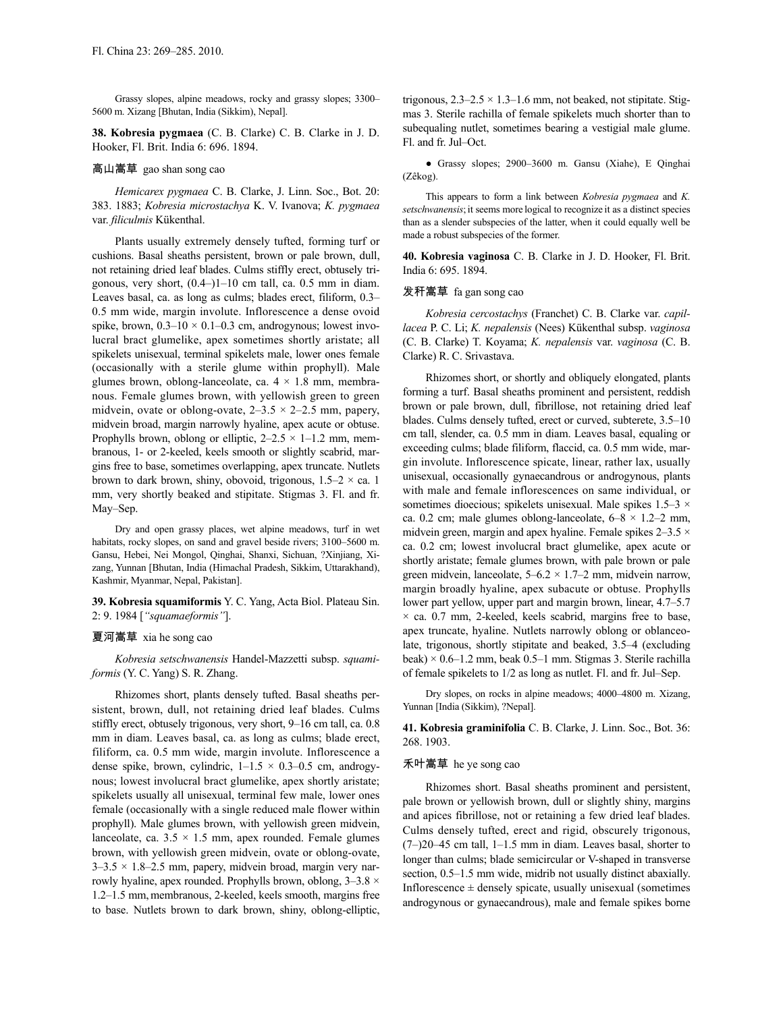Grassy slopes, alpine meadows, rocky and grassy slopes; 3300– 5600 m. Xizang [Bhutan, India (Sikkim), Nepal].

**38. Kobresia pygmaea** (C. B. Clarke) C. B. Clarke in J. D. Hooker, Fl. Brit. India 6: 696. 1894.

# 高山嵩草 gao shan song cao

*Hemicarex pygmaea* C. B. Clarke, J. Linn. Soc., Bot. 20: 383. 1883; *Kobresia microstachya* K. V. Ivanova; *K. pygmaea* var. *filiculmis* Kükenthal.

Plants usually extremely densely tufted, forming turf or cushions. Basal sheaths persistent, brown or pale brown, dull, not retaining dried leaf blades. Culms stiffly erect, obtusely trigonous, very short,  $(0.4-)1-10$  cm tall, ca. 0.5 mm in diam. Leaves basal, ca. as long as culms; blades erect, filiform, 0.3– 0.5 mm wide, margin involute. Inflorescence a dense ovoid spike, brown,  $0.3-10 \times 0.1-0.3$  cm, androgynous; lowest involucral bract glumelike, apex sometimes shortly aristate; all spikelets unisexual, terminal spikelets male, lower ones female (occasionally with a sterile glume within prophyll). Male glumes brown, oblong-lanceolate, ca.  $4 \times 1.8$  mm, membranous. Female glumes brown, with yellowish green to green midvein, ovate or oblong-ovate,  $2-3.5 \times 2-2.5$  mm, papery, midvein broad, margin narrowly hyaline, apex acute or obtuse. Prophylls brown, oblong or elliptic,  $2-2.5 \times 1-1.2$  mm, membranous, 1- or 2-keeled, keels smooth or slightly scabrid, margins free to base, sometimes overlapping, apex truncate. Nutlets brown to dark brown, shiny, obovoid, trigonous,  $1.5-2 \times$  ca. 1 mm, very shortly beaked and stipitate. Stigmas 3. Fl. and fr. May–Sep.

Dry and open grassy places, wet alpine meadows, turf in wet habitats, rocky slopes, on sand and gravel beside rivers; 3100–5600 m. Gansu, Hebei, Nei Mongol, Qinghai, Shanxi, Sichuan, ?Xinjiang, Xizang, Yunnan [Bhutan, India (Himachal Pradesh, Sikkim, Uttarakhand), Kashmir, Myanmar, Nepal, Pakistan].

**39. Kobresia squamiformis** Y. C. Yang, Acta Biol. Plateau Sin. 2: 9. 1984 [*"squamaeformis"*].

#### 夏河嵩草 xia he song cao

*Kobresia setschwanensis* Handel-Mazzetti subsp. *squamiformis* (Y. C. Yang) S. R. Zhang.

Rhizomes short, plants densely tufted. Basal sheaths persistent, brown, dull, not retaining dried leaf blades. Culms stiffly erect, obtusely trigonous, very short, 9–16 cm tall, ca. 0.8 mm in diam. Leaves basal, ca. as long as culms; blade erect, filiform, ca. 0.5 mm wide, margin involute. Inflorescence a dense spike, brown, cylindric,  $1-1.5 \times 0.3-0.5$  cm, androgynous; lowest involucral bract glumelike, apex shortly aristate; spikelets usually all unisexual, terminal few male, lower ones female (occasionally with a single reduced male flower within prophyll). Male glumes brown, with yellowish green midvein, lanceolate, ca.  $3.5 \times 1.5$  mm, apex rounded. Female glumes brown, with yellowish green midvein, ovate or oblong-ovate,  $3-3.5 \times 1.8-2.5$  mm, papery, midvein broad, margin very narrowly hyaline, apex rounded. Prophylls brown, oblong,  $3-3.8 \times$ 1.2–1.5 mm, membranous, 2-keeled, keels smooth, margins free to base. Nutlets brown to dark brown, shiny, oblong-elliptic, trigonous,  $2.3-2.5 \times 1.3-1.6$  mm, not beaked, not stipitate. Stigmas 3. Sterile rachilla of female spikelets much shorter than to subequaling nutlet, sometimes bearing a vestigial male glume. Fl. and fr. Jul–Oct.

● Grassy slopes; 2900–3600 m. Gansu (Xiahe), E Qinghai (Zêkog).

This appears to form a link between *Kobresia pygmaea* and *K. setschwanensis*;it seems more logical to recognize it as a distinct species than as a slender subspecies of the latter, when it could equally well be made a robust subspecies of the former.

**40. Kobresia vaginosa** C. B. Clarke in J. D. Hooker, Fl. Brit. India 6: 695. 1894.

#### 发秆嵩草 fa gan song cao

*Kobresia cercostachys* (Franchet) C. B. Clarke var. *capillacea* P. C. Li; *K. nepalensis* (Nees) Kükenthal subsp. *vaginosa* (C. B. Clarke) T. Koyama; *K. nepalensis* var. *vaginosa* (C. B. Clarke) R. C. Srivastava.

Rhizomes short, or shortly and obliquely elongated, plants forming a turf. Basal sheaths prominent and persistent, reddish brown or pale brown, dull, fibrillose, not retaining dried leaf blades. Culms densely tufted, erect or curved, subterete, 3.5–10 cm tall, slender, ca. 0.5 mm in diam. Leaves basal, equaling or exceeding culms; blade filiform, flaccid, ca. 0.5 mm wide, margin involute. Inflorescence spicate, linear, rather lax, usually unisexual, occasionally gynaecandrous or androgynous, plants with male and female inflorescences on same individual, or sometimes dioecious; spikelets unisexual. Male spikes 1.5–3  $\times$ ca. 0.2 cm; male glumes oblong-lanceolate,  $6-8 \times 1.2-2$  mm, midvein green, margin and apex hyaline. Female spikes  $2-3.5 \times$ ca. 0.2 cm; lowest involucral bract glumelike, apex acute or shortly aristate; female glumes brown, with pale brown or pale green midvein, lanceolate, 5–6.2 × 1.7–2 mm, midvein narrow, margin broadly hyaline, apex subacute or obtuse. Prophylls lower part yellow, upper part and margin brown, linear, 4.7–5.7  $\times$  ca. 0.7 mm, 2-keeled, keels scabrid, margins free to base, apex truncate, hyaline. Nutlets narrowly oblong or oblanceolate, trigonous, shortly stipitate and beaked, 3.5–4 (excluding beak)  $\times$  0.6–1.2 mm, beak 0.5–1 mm. Stigmas 3. Sterile rachilla of female spikelets to 1/2 as long as nutlet. Fl. and fr. Jul–Sep.

Dry slopes, on rocks in alpine meadows; 4000–4800 m. Xizang, Yunnan [India (Sikkim), ?Nepal].

**41. Kobresia graminifolia** C. B. Clarke, J. Linn. Soc., Bot. 36: 268. 1903.

### 禾叶嵩草 he ye song cao

Rhizomes short. Basal sheaths prominent and persistent, pale brown or yellowish brown, dull or slightly shiny, margins and apices fibrillose, not or retaining a few dried leaf blades. Culms densely tufted, erect and rigid, obscurely trigonous, (7–)20–45 cm tall, 1–1.5 mm in diam. Leaves basal, shorter to longer than culms; blade semicircular or V-shaped in transverse section, 0.5–1.5 mm wide, midrib not usually distinct abaxially. Inflorescence  $\pm$  densely spicate, usually unisexual (sometimes androgynous or gynaecandrous), male and female spikes borne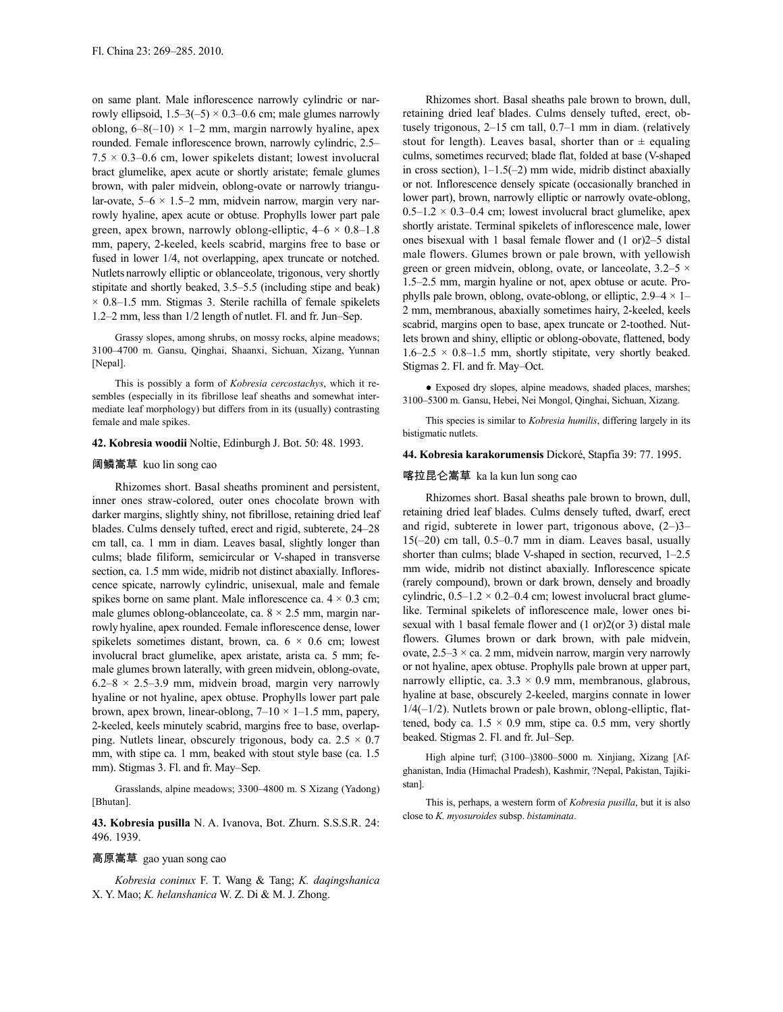on same plant. Male inflorescence narrowly cylindric or narrowly ellipsoid,  $1.5-3(-5) \times 0.3-0.6$  cm; male glumes narrowly oblong,  $6-8(-10) \times 1-2$  mm, margin narrowly hyaline, apex rounded. Female inflorescence brown, narrowly cylindric, 2.5–  $7.5 \times 0.3{\text{-}}0.6$  cm, lower spikelets distant; lowest involucral bract glumelike, apex acute or shortly aristate; female glumes brown, with paler midvein, oblong-ovate or narrowly triangular-ovate,  $5-6 \times 1.5-2$  mm, midvein narrow, margin very narrowly hyaline, apex acute or obtuse. Prophylls lower part pale green, apex brown, narrowly oblong-elliptic,  $4-6 \times 0.8-1.8$ mm, papery, 2-keeled, keels scabrid, margins free to base or fused in lower 1/4, not overlapping, apex truncate or notched. Nutlets narrowly elliptic or oblanceolate, trigonous, very shortly stipitate and shortly beaked, 3.5–5.5 (including stipe and beak)  $\times$  0.8–1.5 mm. Stigmas 3. Sterile rachilla of female spikelets 1.2–2 mm, less than 1/2 length of nutlet. Fl. and fr. Jun–Sep.

Grassy slopes, among shrubs, on mossy rocks, alpine meadows; 3100–4700 m. Gansu, Qinghai, Shaanxi, Sichuan, Xizang, Yunnan [Nepal].

This is possibly a form of *Kobresia cercostachys*, which it resembles (especially in its fibrillose leaf sheaths and somewhat intermediate leaf morphology) but differs from in its (usually) contrasting female and male spikes.

### **42. Kobresia woodii** Noltie, Edinburgh J. Bot. 50: 48. 1993.

#### 阔鳞嵩草 kuo lin song cao

Rhizomes short. Basal sheaths prominent and persistent, inner ones straw-colored, outer ones chocolate brown with darker margins, slightly shiny, not fibrillose, retaining dried leaf blades. Culms densely tufted, erect and rigid, subterete, 24–28 cm tall, ca. 1 mm in diam. Leaves basal, slightly longer than culms; blade filiform, semicircular or V-shaped in transverse section, ca. 1.5 mm wide, midrib not distinct abaxially. Inflorescence spicate, narrowly cylindric, unisexual, male and female spikes borne on same plant. Male inflorescence ca.  $4 \times 0.3$  cm; male glumes oblong-oblanceolate, ca.  $8 \times 2.5$  mm, margin narrowly hyaline, apex rounded. Female inflorescence dense, lower spikelets sometimes distant, brown, ca.  $6 \times 0.6$  cm; lowest involucral bract glumelike, apex aristate, arista ca. 5 mm; female glumes brown laterally, with green midvein, oblong-ovate,  $6.2-8 \times 2.5-3.9$  mm, midvein broad, margin very narrowly hyaline or not hyaline, apex obtuse. Prophylls lower part pale brown, apex brown, linear-oblong,  $7-10 \times 1-1.5$  mm, papery, 2-keeled, keels minutely scabrid, margins free to base, overlapping. Nutlets linear, obscurely trigonous, body ca.  $2.5 \times 0.7$ mm, with stipe ca. 1 mm, beaked with stout style base (ca. 1.5 mm). Stigmas 3. Fl. and fr. May–Sep.

Grasslands, alpine meadows; 3300–4800 m. S Xizang (Yadong) [Bhutan].

**43. Kobresia pusilla** N. A. Ivanova, Bot. Zhurn. S.S.S.R. 24: 496. 1939.

#### 高原嵩草 gao yuan song cao

*Kobresia coninux* F. T. Wang & Tang; *K. daqingshanica* X. Y. Mao; *K. helanshanica* W. Z. Di & M. J. Zhong.

Rhizomes short. Basal sheaths pale brown to brown, dull, retaining dried leaf blades. Culms densely tufted, erect, obtusely trigonous, 2–15 cm tall, 0.7–1 mm in diam. (relatively stout for length). Leaves basal, shorter than or  $\pm$  equaling culms, sometimes recurved; blade flat, folded at base (V-shaped in cross section), 1–1.5(–2) mm wide, midrib distinct abaxially or not. Inflorescence densely spicate (occasionally branched in lower part), brown, narrowly elliptic or narrowly ovate-oblong,  $0.5-1.2 \times 0.3-0.4$  cm; lowest involucral bract glumelike, apex shortly aristate. Terminal spikelets of inflorescence male, lower ones bisexual with 1 basal female flower and (1 or)2–5 distal male flowers. Glumes brown or pale brown, with yellowish green or green midvein, oblong, ovate, or lanceolate, 3.2–5  $\times$ 1.5–2.5 mm, margin hyaline or not, apex obtuse or acute. Prophylls pale brown, oblong, ovate-oblong, or elliptic,  $2.9-4 \times 1-$ 2 mm, membranous, abaxially sometimes hairy, 2-keeled, keels scabrid, margins open to base, apex truncate or 2-toothed. Nutlets brown and shiny, elliptic or oblong-obovate, flattened, body  $1.6-2.5 \times 0.8-1.5$  mm, shortly stipitate, very shortly beaked. Stigmas 2. Fl. and fr. May–Oct.

● Exposed dry slopes, alpine meadows, shaded places, marshes; 3100–5300 m. Gansu, Hebei, Nei Mongol, Qinghai, Sichuan, Xizang.

This species is similar to *Kobresia humilis*, differing largely in its bistigmatic nutlets.

#### **44. Kobresia karakorumensis** Dickoré, Stapfia 39: 77. 1995.

### 喀拉昆仑嵩草 ka la kun lun song cao

Rhizomes short. Basal sheaths pale brown to brown, dull, retaining dried leaf blades. Culms densely tufted, dwarf, erect and rigid, subterete in lower part, trigonous above, (2–)3– 15(–20) cm tall, 0.5–0.7 mm in diam. Leaves basal, usually shorter than culms; blade V-shaped in section, recurved, 1–2.5 mm wide, midrib not distinct abaxially. Inflorescence spicate (rarely compound), brown or dark brown, densely and broadly cylindric,  $0.5-1.2 \times 0.2-0.4$  cm; lowest involucral bract glumelike. Terminal spikelets of inflorescence male, lower ones bisexual with 1 basal female flower and (1 or)2(or 3) distal male flowers. Glumes brown or dark brown, with pale midvein, ovate,  $2.5-3 \times$  ca. 2 mm, midvein narrow, margin very narrowly or not hyaline, apex obtuse. Prophylls pale brown at upper part, narrowly elliptic, ca.  $3.3 \times 0.9$  mm, membranous, glabrous, hyaline at base, obscurely 2-keeled, margins connate in lower  $1/4(-1/2)$ . Nutlets brown or pale brown, oblong-elliptic, flattened, body ca.  $1.5 \times 0.9$  mm, stipe ca. 0.5 mm, very shortly beaked. Stigmas 2. Fl. and fr. Jul–Sep.

High alpine turf; (3100–)3800–5000 m. Xinjiang, Xizang [Afghanistan, India (Himachal Pradesh), Kashmir, ?Nepal, Pakistan, Tajikistan].

This is, perhaps, a western form of *Kobresia pusilla*, but it is also close to *K. myosuroides* subsp. *bistaminata*.